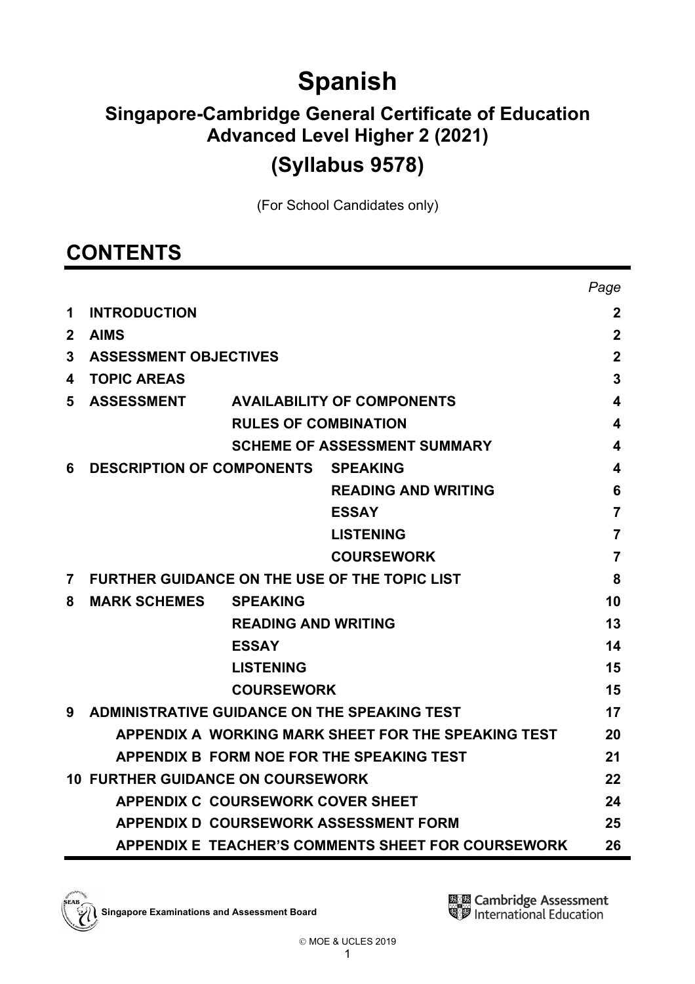# **Spanish**

# **Singapore-Cambridge General Certificate of Education Advanced Level Higher 2 (2021)**

# **(Syllabus 9578)**

(For School Candidates only)

# **CONTENTS**

|                |                                          |                             |                                                      | Page           |
|----------------|------------------------------------------|-----------------------------|------------------------------------------------------|----------------|
| 1              | <b>INTRODUCTION</b>                      |                             |                                                      | $\mathbf 2$    |
| $\mathbf{2}$   | <b>AIMS</b>                              |                             |                                                      | $\mathbf 2$    |
| 3              | <b>ASSESSMENT OBJECTIVES</b>             |                             |                                                      | $\mathbf 2$    |
| 4              | <b>TOPIC AREAS</b>                       |                             |                                                      | 3              |
| 5              | <b>ASSESSMENT</b>                        |                             | <b>AVAILABILITY OF COMPONENTS</b>                    | 4              |
|                |                                          | <b>RULES OF COMBINATION</b> |                                                      | 4              |
|                |                                          |                             | <b>SCHEME OF ASSESSMENT SUMMARY</b>                  | 4              |
| 6              | <b>DESCRIPTION OF COMPONENTS</b>         |                             | <b>SPEAKING</b>                                      | 4              |
|                |                                          |                             | <b>READING AND WRITING</b>                           | 6              |
|                |                                          |                             | <b>ESSAY</b>                                         | $\overline{7}$ |
|                |                                          |                             | <b>LISTENING</b>                                     | 7              |
|                |                                          |                             | <b>COURSEWORK</b>                                    | 7              |
| $\overline{7}$ |                                          |                             | <b>FURTHER GUIDANCE ON THE USE OF THE TOPIC LIST</b> | 8              |
| 8              | <b>MARK SCHEMES</b>                      | <b>SPEAKING</b>             |                                                      | 10             |
|                |                                          | <b>READING AND WRITING</b>  |                                                      | 13             |
|                |                                          | <b>ESSAY</b>                |                                                      | 14             |
|                |                                          | <b>LISTENING</b>            |                                                      | 15             |
|                |                                          | <b>COURSEWORK</b>           |                                                      | 15             |
| 9              |                                          |                             | ADMINISTRATIVE GUIDANCE ON THE SPEAKING TEST         | 17             |
|                |                                          |                             | APPENDIX A WORKING MARK SHEET FOR THE SPEAKING TEST  | 20             |
|                |                                          |                             | APPENDIX B FORM NOE FOR THE SPEAKING TEST            | 21             |
|                | <b>10 FURTHER GUIDANCE ON COURSEWORK</b> |                             |                                                      | 22             |
|                | <b>APPENDIX C COURSEWORK COVER SHEET</b> |                             |                                                      | 24             |
|                |                                          |                             | APPENDIX D COURSEWORK ASSESSMENT FORM                | 25             |
|                |                                          |                             | APPENDIX E TEACHER'S COMMENTS SHEET FOR COURSEWORK   | 26             |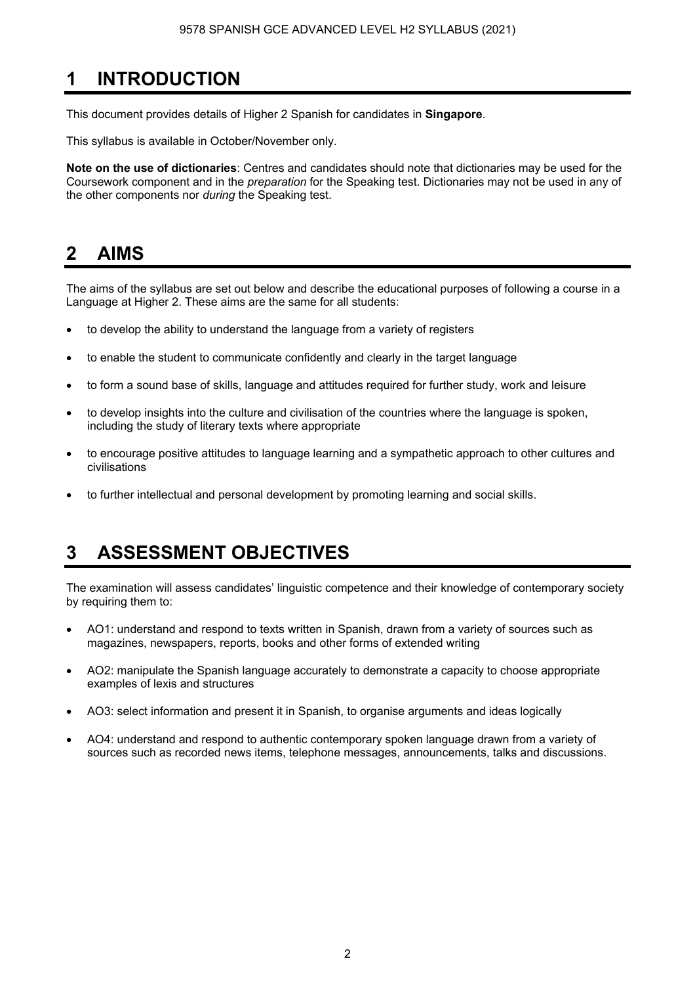# **1 INTRODUCTION**

This document provides details of Higher 2 Spanish for candidates in **Singapore**.

This syllabus is available in October/November only.

**Note on the use of dictionaries**: Centres and candidates should note that dictionaries may be used for the Coursework component and in the *preparation* for the Speaking test. Dictionaries may not be used in any of the other components nor *during* the Speaking test.

# **2 AIMS**

The aims of the syllabus are set out below and describe the educational purposes of following a course in a Language at Higher 2. These aims are the same for all students:

- to develop the ability to understand the language from a variety of registers
- to enable the student to communicate confidently and clearly in the target language
- to form a sound base of skills, language and attitudes required for further study, work and leisure
- to develop insights into the culture and civilisation of the countries where the language is spoken, including the study of literary texts where appropriate
- to encourage positive attitudes to language learning and a sympathetic approach to other cultures and civilisations
- to further intellectual and personal development by promoting learning and social skills.

# **3 ASSESSMENT OBJECTIVES**

The examination will assess candidates' linguistic competence and their knowledge of contemporary society by requiring them to:

- AO1: understand and respond to texts written in Spanish, drawn from a variety of sources such as magazines, newspapers, reports, books and other forms of extended writing
- AO2: manipulate the Spanish language accurately to demonstrate a capacity to choose appropriate examples of lexis and structures
- AO3: select information and present it in Spanish, to organise arguments and ideas logically
- AO4: understand and respond to authentic contemporary spoken language drawn from a variety of sources such as recorded news items, telephone messages, announcements, talks and discussions.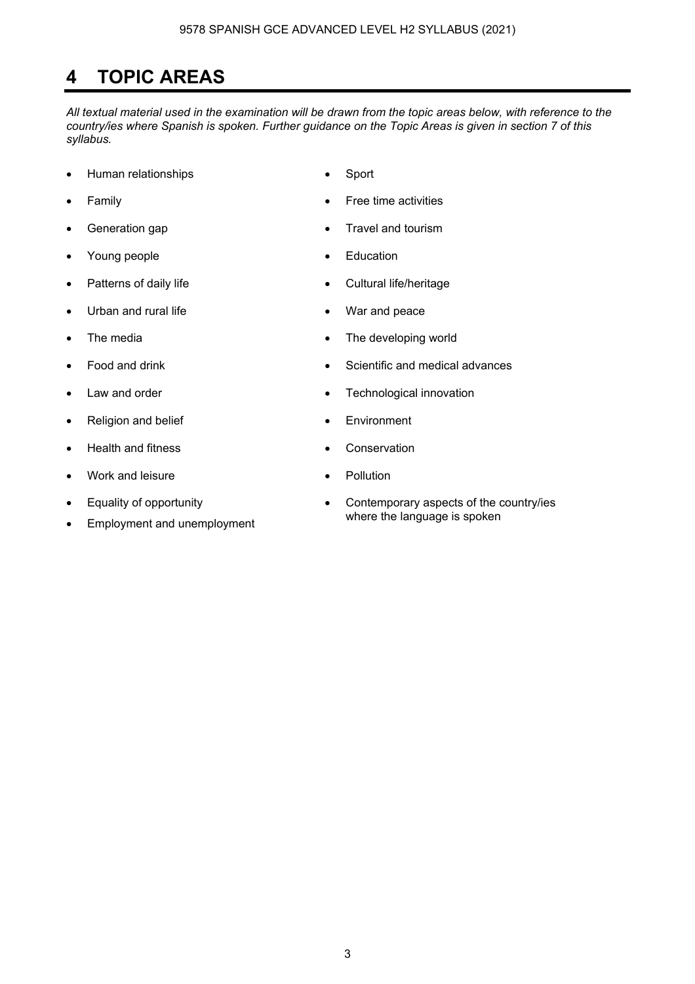# **4 TOPIC AREAS**

*All textual material used in the examination will be drawn from the topic areas below, with reference to the country/ies where Spanish is spoken. Further guidance on the Topic Areas is given in section 7 of this syllabus.* 

- Human relationships Sport
- 
- 
- Young people **•** Education
- 
- Urban and rural life **•** War and peace
- 
- 
- 
- Religion and belief **•** Environment
- Health and fitness **•** Conservation
- Work and leisure Pollution
- Equality of opportunity
- Employment and unemployment
- 
- Family Free time activities
- Generation gap **•** Travel and tourism
	-
- Patterns of daily life  **Cultural life/heritage** 
	-
- The media **•** The developing world
- Food and drink Scientific and medical advances
	- Law and order **Figure 1** and order **Figure 1** and order **Figure 1** and  $\bullet$  **Technological innovation** 
		-
		-
		-
		- Contemporary aspects of the country/ies where the language is spoken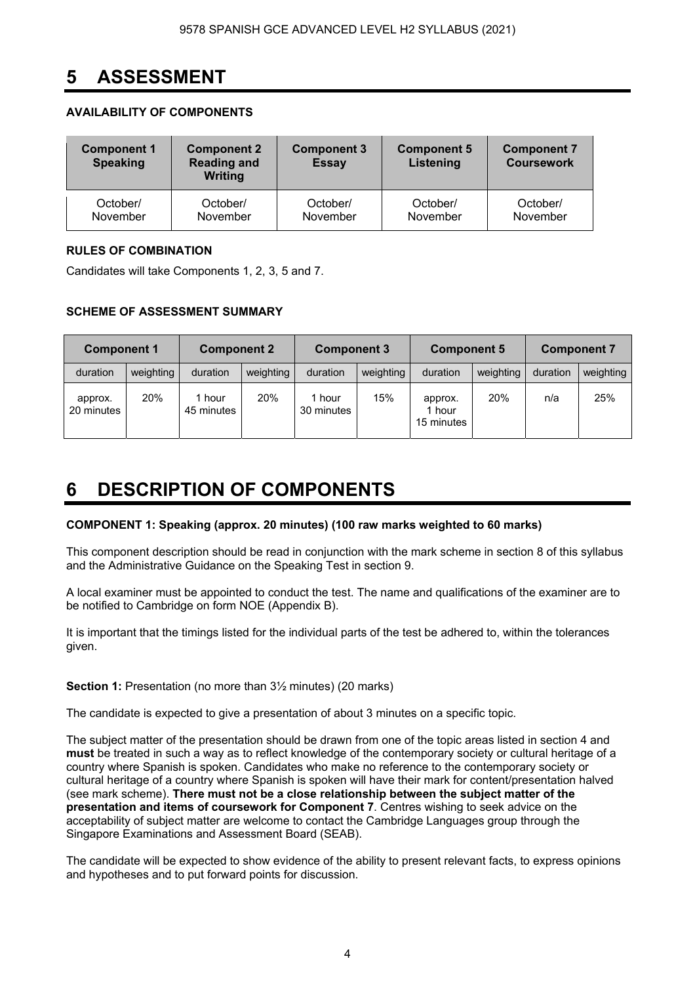# **5 ASSESSMENT**

# **AVAILABILITY OF COMPONENTS**

| <b>Component 1</b><br><b>Speaking</b> | <b>Component 2</b><br><b>Component 3</b><br><b>Reading and</b><br><b>Essay</b><br><b>Writing</b> |          | <b>Component 5</b><br>Listening | <b>Component 7</b><br><b>Coursework</b> |
|---------------------------------------|--------------------------------------------------------------------------------------------------|----------|---------------------------------|-----------------------------------------|
| October/                              | October/                                                                                         | October/ | October/                        | October/                                |
| November                              | November                                                                                         | November | November                        | November                                |

# **RULES OF COMBINATION**

Candidates will take Components 1, 2, 3, 5 and 7.

# **SCHEME OF ASSESSMENT SUMMARY**

| <b>Component 1</b>    |            | <b>Component 2</b> |           | <b>Component 3</b>   |           | <b>Component 5</b>              |           | <b>Component 7</b> |           |
|-----------------------|------------|--------------------|-----------|----------------------|-----------|---------------------------------|-----------|--------------------|-----------|
| duration              | weighting  | duration           | weighting | duration             | weighting | duration                        | weighting | duration           | weighting |
| approx.<br>20 minutes | <b>20%</b> | hour<br>45 minutes | 20%       | 1 hour<br>30 minutes | 15%       | approx.<br>1 hour<br>15 minutes | 20%       | n/a                | 25%       |

# **6 DESCRIPTION OF COMPONENTS**

#### **COMPONENT 1: Speaking (approx. 20 minutes) (100 raw marks weighted to 60 marks)**

This component description should be read in conjunction with the mark scheme in section 8 of this syllabus and the Administrative Guidance on the Speaking Test in section 9.

A local examiner must be appointed to conduct the test. The name and qualifications of the examiner are to be notified to Cambridge on form NOE (Appendix B).

It is important that the timings listed for the individual parts of the test be adhered to, within the tolerances given.

**Section 1:** Presentation (no more than  $3\frac{1}{2}$  minutes) (20 marks)

The candidate is expected to give a presentation of about 3 minutes on a specific topic.

The subject matter of the presentation should be drawn from one of the topic areas listed in section 4 and **must** be treated in such a way as to reflect knowledge of the contemporary society or cultural heritage of a country where Spanish is spoken. Candidates who make no reference to the contemporary society or cultural heritage of a country where Spanish is spoken will have their mark for content/presentation halved (see mark scheme). **There must not be a close relationship between the subject matter of the presentation and items of coursework for Component 7**. Centres wishing to seek advice on the acceptability of subject matter are welcome to contact the Cambridge Languages group through the Singapore Examinations and Assessment Board (SEAB).

The candidate will be expected to show evidence of the ability to present relevant facts, to express opinions and hypotheses and to put forward points for discussion.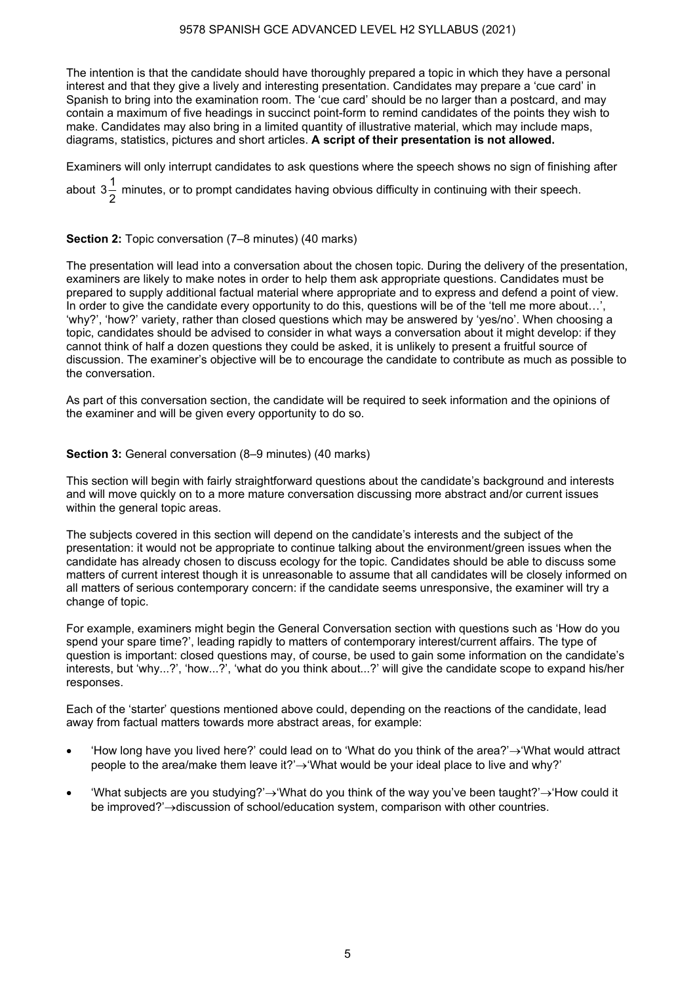#### 9578 SPANISH GCE ADVANCED LEVEL H2 SYLLABUS (2021)

The intention is that the candidate should have thoroughly prepared a topic in which they have a personal interest and that they give a lively and interesting presentation. Candidates may prepare a 'cue card' in Spanish to bring into the examination room. The 'cue card' should be no larger than a postcard, and may contain a maximum of five headings in succinct point-form to remind candidates of the points they wish to make. Candidates may also bring in a limited quantity of illustrative material, which may include maps, diagrams, statistics, pictures and short articles. **A script of their presentation is not allowed.** 

Examiners will only interrupt candidates to ask questions where the speech shows no sign of finishing after

about  $3\frac{1}{2}$  minutes, or to prompt candidates having obvious difficulty in continuing with their speech.

#### **Section 2:** Topic conversation (7–8 minutes) (40 marks)

The presentation will lead into a conversation about the chosen topic. During the delivery of the presentation, examiners are likely to make notes in order to help them ask appropriate questions. Candidates must be prepared to supply additional factual material where appropriate and to express and defend a point of view. In order to give the candidate every opportunity to do this, questions will be of the 'tell me more about...', 'why?', 'how?' variety, rather than closed questions which may be answered by 'yes/no'. When choosing a topic, candidates should be advised to consider in what ways a conversation about it might develop: if they cannot think of half a dozen questions they could be asked, it is unlikely to present a fruitful source of discussion. The examiner's objective will be to encourage the candidate to contribute as much as possible to the conversation.

As part of this conversation section, the candidate will be required to seek information and the opinions of the examiner and will be given every opportunity to do so.

#### **Section 3:** General conversation (8-9 minutes) (40 marks)

This section will begin with fairly straightforward questions about the candidate's background and interests and will move quickly on to a more mature conversation discussing more abstract and/or current issues within the general topic areas.

The subjects covered in this section will depend on the candidate's interests and the subject of the presentation: it would not be appropriate to continue talking about the environment/green issues when the candidate has already chosen to discuss ecology for the topic. Candidates should be able to discuss some matters of current interest though it is unreasonable to assume that all candidates will be closely informed on all matters of serious contemporary concern: if the candidate seems unresponsive, the examiner will try a change of topic.

For example, examiners might begin the General Conversation section with questions such as 'How do you spend your spare time?', leading rapidly to matters of contemporary interest/current affairs. The type of question is important: closed questions may, of course, be used to gain some information on the candidate's interests, but 'why...?', 'how...?', 'what do you think about...?' will give the candidate scope to expand his/her responses.

Each of the 'starter' questions mentioned above could, depending on the reactions of the candidate, lead away from factual matters towards more abstract areas, for example:

- 'How long have you lived here?' could lead on to 'What do you think of the area?'→'What would attract people to the area/make them leave it?'→'What would be your ideal place to live and why?'
- 'What subjects are you studying?'→'What do you think of the way you've been taught?'→'How could it be improved?'→discussion of school/education system, comparison with other countries.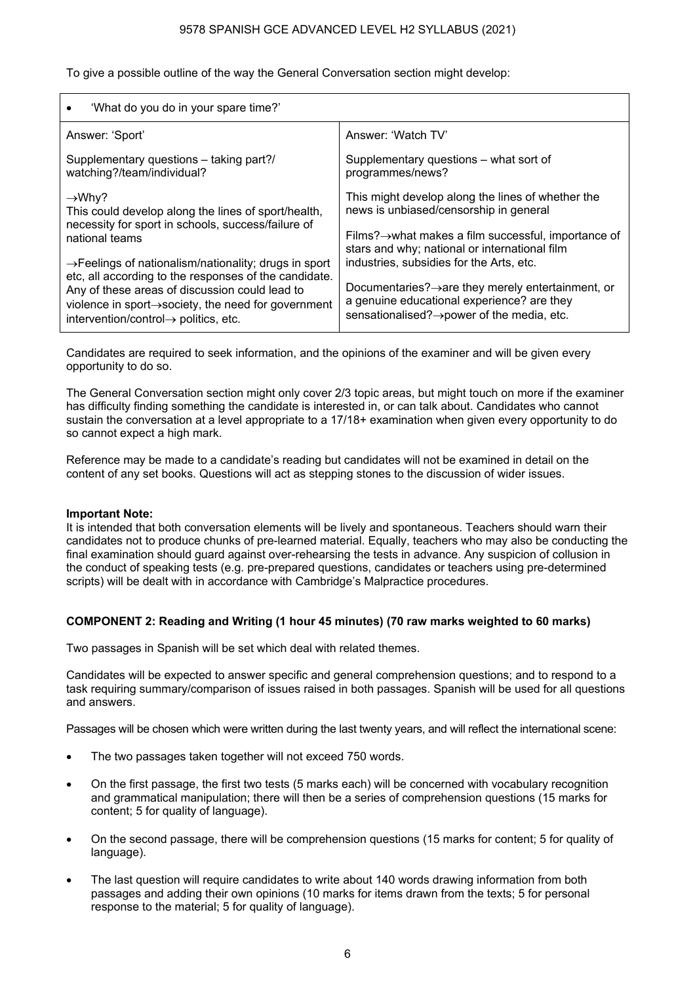#### 9578 SPANISH GCE ADVANCED LEVEL H2 SYLLABUS (2021)

To give a possible outline of the way the General Conversation section might develop:

| 'What do you do in your spare time?'                                                                                                              |                                                                                                                                                                 |
|---------------------------------------------------------------------------------------------------------------------------------------------------|-----------------------------------------------------------------------------------------------------------------------------------------------------------------|
| Answer: 'Sport'                                                                                                                                   | Answer: 'Watch TV'                                                                                                                                              |
| Supplementary questions – taking part?/                                                                                                           | Supplementary questions – what sort of                                                                                                                          |
| watching?/team/individual?                                                                                                                        | programmes/news?                                                                                                                                                |
| $\rightarrow$ Why?<br>This could develop along the lines of sport/health,<br>necessity for sport in schools, success/failure of<br>national teams | This might develop along the lines of whether the<br>news is unbiased/censorship in general<br>Films? $\rightarrow$ what makes a film successful, importance of |
| $\rightarrow$ Feelings of nationalism/nationality; drugs in sport                                                                                 | stars and why; national or international film                                                                                                                   |
| etc, all according to the responses of the candidate.                                                                                             | industries, subsidies for the Arts, etc.                                                                                                                        |
| Any of these areas of discussion could lead to                                                                                                    | Documentaries? $\rightarrow$ are they merely entertainment, or                                                                                                  |
| violence in sport $\rightarrow$ society, the need for government                                                                                  | a genuine educational experience? are they                                                                                                                      |
| intervention/control $\rightarrow$ politics, etc.                                                                                                 | sensationalised? → power of the media, etc.                                                                                                                     |

Candidates are required to seek information, and the opinions of the examiner and will be given every opportunity to do so.

The General Conversation section might only cover 2/3 topic areas, but might touch on more if the examiner has difficulty finding something the candidate is interested in, or can talk about. Candidates who cannot sustain the conversation at a level appropriate to a 17/18+ examination when given every opportunity to do so cannot expect a high mark.

Reference may be made to a candidate's reading but candidates will not be examined in detail on the content of any set books. Questions will act as stepping stones to the discussion of wider issues.

#### **Important Note:**

It is intended that both conversation elements will be lively and spontaneous. Teachers should warn their candidates not to produce chunks of pre-learned material. Equally, teachers who may also be conducting the final examination should guard against over-rehearsing the tests in advance. Any suspicion of collusion in the conduct of speaking tests (e.g. pre-prepared questions, candidates or teachers using pre-determined scripts) will be dealt with in accordance with Cambridge's Malpractice procedures.

#### **COMPONENT 2: Reading and Writing (1 hour 45 minutes) (70 raw marks weighted to 60 marks)**

Two passages in Spanish will be set which deal with related themes.

Candidates will be expected to answer specific and general comprehension questions; and to respond to a task requiring summary/comparison of issues raised in both passages. Spanish will be used for all questions and answers.

Passages will be chosen which were written during the last twenty years, and will reflect the international scene:

- The two passages taken together will not exceed 750 words.
- On the first passage, the first two tests (5 marks each) will be concerned with vocabulary recognition and grammatical manipulation; there will then be a series of comprehension questions (15 marks for content; 5 for quality of language).
- On the second passage, there will be comprehension questions (15 marks for content; 5 for quality of language).
- The last question will require candidates to write about 140 words drawing information from both passages and adding their own opinions (10 marks for items drawn from the texts; 5 for personal response to the material; 5 for quality of language).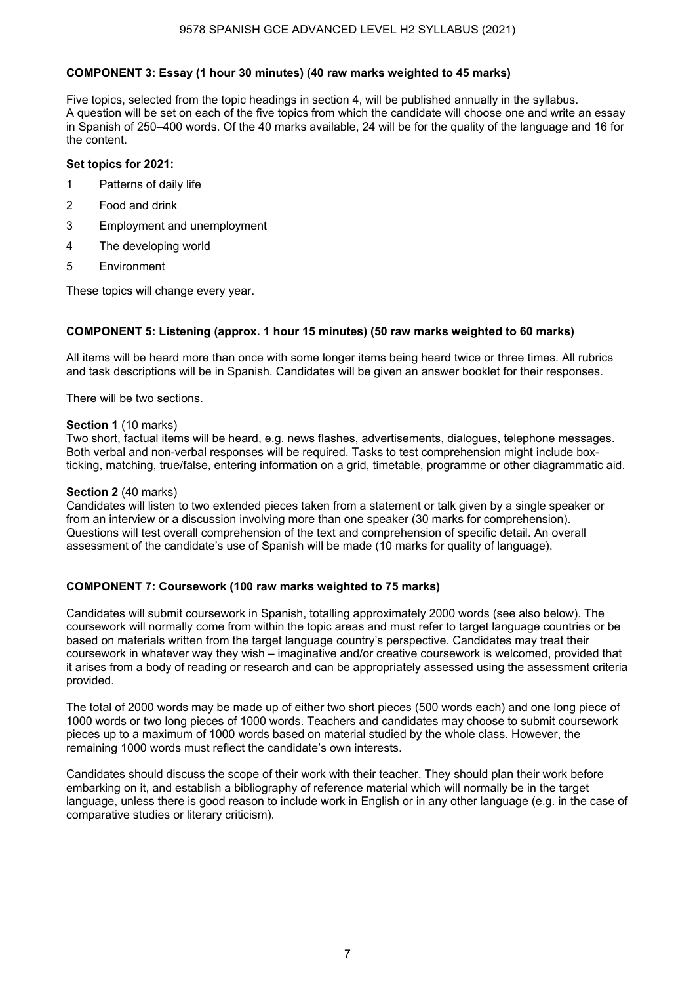#### **COMPONENT 3: Essay (1 hour 30 minutes) (40 raw marks weighted to 45 marks)**

Five topics, selected from the topic headings in section 4, will be published annually in the syllabus. A question will be set on each of the five topics from which the candidate will choose one and write an essay in Spanish of 250–400 words. Of the 40 marks available, 24 will be for the quality of the language and 16 for the content.

#### **Set topics for 2021:**

- 1 Patterns of daily life
- 2 Food and drink
- 3 Employment and unemployment
- 4 The developing world
- 5 Environment

These topics will change every year.

#### **COMPONENT 5: Listening (approx. 1 hour 15 minutes) (50 raw marks weighted to 60 marks)**

All items will be heard more than once with some longer items being heard twice or three times. All rubrics and task descriptions will be in Spanish. Candidates will be given an answer booklet for their responses.

There will be two sections.

#### **Section 1** (10 marks)

Two short, factual items will be heard, e.g. news flashes, advertisements, dialogues, telephone messages. Both verbal and non-verbal responses will be required. Tasks to test comprehension might include boxticking, matching, true/false, entering information on a grid, timetable, programme or other diagrammatic aid.

#### **Section 2** (40 marks)

Candidates will listen to two extended pieces taken from a statement or talk given by a single speaker or from an interview or a discussion involving more than one speaker (30 marks for comprehension). Questions will test overall comprehension of the text and comprehension of specific detail. An overall assessment of the candidate's use of Spanish will be made (10 marks for quality of language).

#### **COMPONENT 7: Coursework (100 raw marks weighted to 75 marks)**

Candidates will submit coursework in Spanish, totalling approximately 2000 words (see also below). The coursework will normally come from within the topic areas and must refer to target language countries or be based on materials written from the target language country's perspective. Candidates may treat their coursework in whatever way they wish – imaginative and/or creative coursework is welcomed, provided that it arises from a body of reading or research and can be appropriately assessed using the assessment criteria provided.

The total of 2000 words may be made up of either two short pieces (500 words each) and one long piece of 1000 words or two long pieces of 1000 words. Teachers and candidates may choose to submit coursework pieces up to a maximum of 1000 words based on material studied by the whole class. However, the remaining 1000 words must reflect the candidate's own interests.

Candidates should discuss the scope of their work with their teacher. They should plan their work before embarking on it, and establish a bibliography of reference material which will normally be in the target language, unless there is good reason to include work in English or in any other language (e.g. in the case of comparative studies or literary criticism).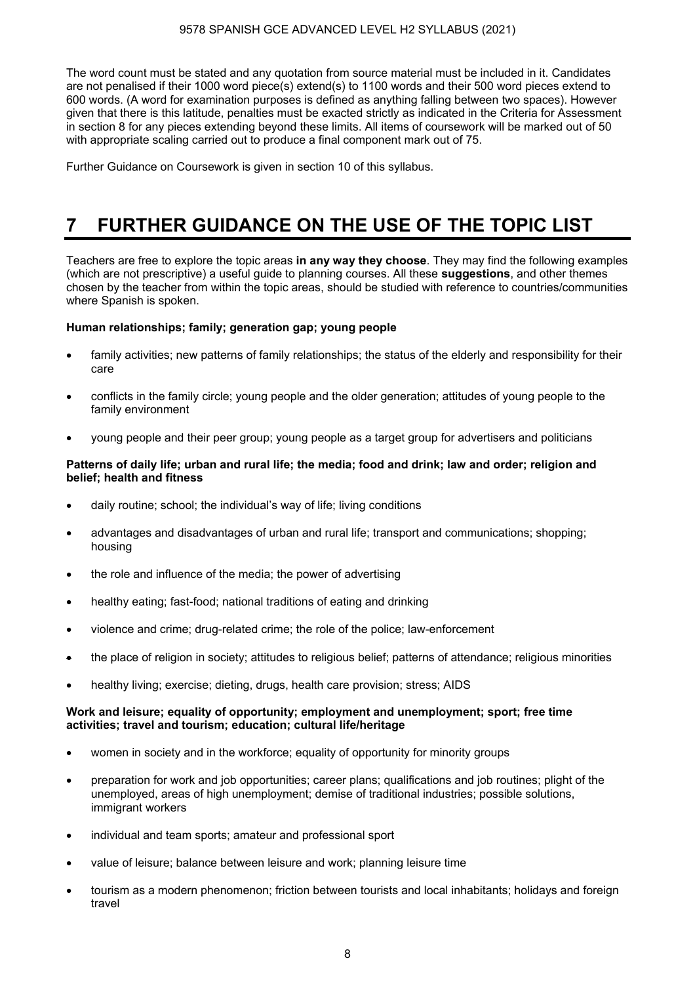#### 9578 SPANISH GCE ADVANCED LEVEL H2 SYLLABUS (2021)

The word count must be stated and any quotation from source material must be included in it. Candidates are not penalised if their 1000 word piece(s) extend(s) to 1100 words and their 500 word pieces extend to 600 words. (A word for examination purposes is defined as anything falling between two spaces). However given that there is this latitude, penalties must be exacted strictly as indicated in the Criteria for Assessment in section 8 for any pieces extending beyond these limits. All items of coursework will be marked out of 50 with appropriate scaling carried out to produce a final component mark out of 75.

Further Guidance on Coursework is given in section 10 of this syllabus.

# **7 FURTHER GUIDANCE ON THE USE OF THE TOPIC LIST**

Teachers are free to explore the topic areas **in any way they choose**. They may find the following examples (which are not prescriptive) a useful guide to planning courses. All these **suggestions**, and other themes chosen by the teacher from within the topic areas, should be studied with reference to countries/communities where Spanish is spoken.

#### **Human relationships; family; generation gap; young people**

- family activities; new patterns of family relationships; the status of the elderly and responsibility for their care
- conflicts in the family circle; young people and the older generation; attitudes of young people to the family environment
- young people and their peer group; young people as a target group for advertisers and politicians

#### **Patterns of daily life; urban and rural life; the media; food and drink; law and order; religion and belief; health and fitness**

- daily routine; school; the individual's way of life; living conditions
- advantages and disadvantages of urban and rural life; transport and communications; shopping; housing
- the role and influence of the media; the power of advertising
- healthy eating; fast-food; national traditions of eating and drinking
- violence and crime; drug-related crime; the role of the police; law-enforcement
- the place of religion in society; attitudes to religious belief; patterns of attendance; religious minorities
- healthy living; exercise; dieting, drugs, health care provision; stress; AIDS

#### **Work and leisure; equality of opportunity; employment and unemployment; sport; free time activities; travel and tourism; education; cultural life/heritage**

- women in society and in the workforce; equality of opportunity for minority groups
- preparation for work and job opportunities; career plans; qualifications and job routines; plight of the unemployed, areas of high unemployment; demise of traditional industries; possible solutions, immigrant workers
- individual and team sports; amateur and professional sport
- value of leisure; balance between leisure and work; planning leisure time
- tourism as a modern phenomenon; friction between tourists and local inhabitants; holidays and foreign travel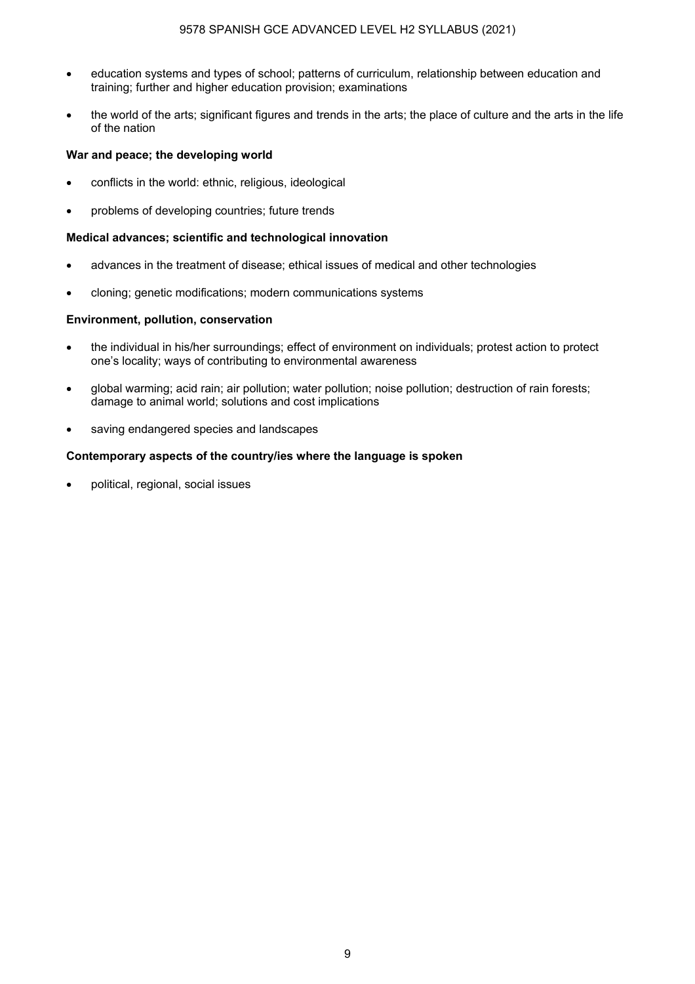- education systems and types of school; patterns of curriculum, relationship between education and training; further and higher education provision; examinations
- the world of the arts; significant figures and trends in the arts; the place of culture and the arts in the life of the nation

#### **War and peace; the developing world**

- conflicts in the world: ethnic, religious, ideological
- problems of developing countries; future trends

#### **Medical advances; scientific and technological innovation**

- advances in the treatment of disease; ethical issues of medical and other technologies
- cloning; genetic modifications; modern communications systems

### **Environment, pollution, conservation**

- the individual in his/her surroundings; effect of environment on individuals; protest action to protect one's locality; ways of contributing to environmental awareness
- global warming; acid rain; air pollution; water pollution; noise pollution; destruction of rain forests; damage to animal world; solutions and cost implications
- saving endangered species and landscapes

### **Contemporary aspects of the country/ies where the language is spoken**

• political, regional, social issues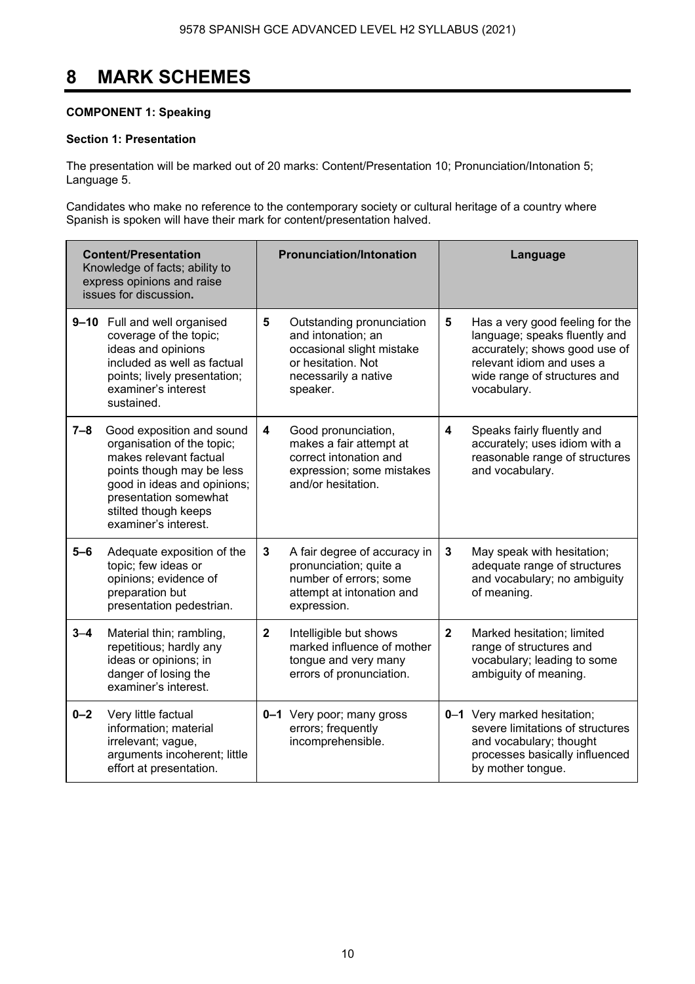# **8 MARK SCHEMES**

### **COMPONENT 1: Speaking**

# **Section 1: Presentation**

The presentation will be marked out of 20 marks: Content/Presentation 10; Pronunciation/Intonation 5; Language 5.

Candidates who make no reference to the contemporary society or cultural heritage of a country where Spanish is spoken will have their mark for content/presentation halved.

| <b>Content/Presentation</b><br>Knowledge of facts; ability to<br>express opinions and raise<br>issues for discussion. |                                                                                                                                                                                                                        |              | <b>Pronunciation/Intonation</b>                                                                                                        |                | Language                                                                                                                                                                      |
|-----------------------------------------------------------------------------------------------------------------------|------------------------------------------------------------------------------------------------------------------------------------------------------------------------------------------------------------------------|--------------|----------------------------------------------------------------------------------------------------------------------------------------|----------------|-------------------------------------------------------------------------------------------------------------------------------------------------------------------------------|
|                                                                                                                       | 9-10 Full and well organised<br>coverage of the topic;<br>ideas and opinions<br>included as well as factual<br>points; lively presentation;<br>examiner's interest<br>sustained.                                       | 5            | Outstanding pronunciation<br>and intonation; an<br>occasional slight mistake<br>or hesitation. Not<br>necessarily a native<br>speaker. | 5              | Has a very good feeling for the<br>language; speaks fluently and<br>accurately; shows good use of<br>relevant idiom and uses a<br>wide range of structures and<br>vocabulary. |
| $7 - 8$                                                                                                               | Good exposition and sound<br>organisation of the topic;<br>makes relevant factual<br>points though may be less<br>good in ideas and opinions;<br>presentation somewhat<br>stilted though keeps<br>examiner's interest. | 4            | Good pronunciation,<br>makes a fair attempt at<br>correct intonation and<br>expression; some mistakes<br>and/or hesitation.            | 4              | Speaks fairly fluently and<br>accurately; uses idiom with a<br>reasonable range of structures<br>and vocabulary.                                                              |
| $5 - 6$                                                                                                               | Adequate exposition of the<br>topic; few ideas or<br>opinions; evidence of<br>preparation but<br>presentation pedestrian.                                                                                              | 3            | A fair degree of accuracy in<br>pronunciation; quite a<br>number of errors; some<br>attempt at intonation and<br>expression.           | 3              | May speak with hesitation;<br>adequate range of structures<br>and vocabulary; no ambiguity<br>of meaning.                                                                     |
| $3 - 4$                                                                                                               | Material thin; rambling,<br>repetitious; hardly any<br>ideas or opinions; in<br>danger of losing the<br>examiner's interest.                                                                                           | $\mathbf{2}$ | Intelligible but shows<br>marked influence of mother<br>tongue and very many<br>errors of pronunciation.                               | $\overline{2}$ | Marked hesitation; limited<br>range of structures and<br>vocabulary; leading to some<br>ambiguity of meaning.                                                                 |
| $0 - 2$                                                                                                               | Very little factual<br>information; material<br>irrelevant; vague,<br>arguments incoherent; little<br>effort at presentation.                                                                                          |              | 0-1 Very poor; many gross<br>errors; frequently<br>incomprehensible.                                                                   |                | 0-1 Very marked hesitation;<br>severe limitations of structures<br>and vocabulary; thought<br>processes basically influenced<br>by mother tongue.                             |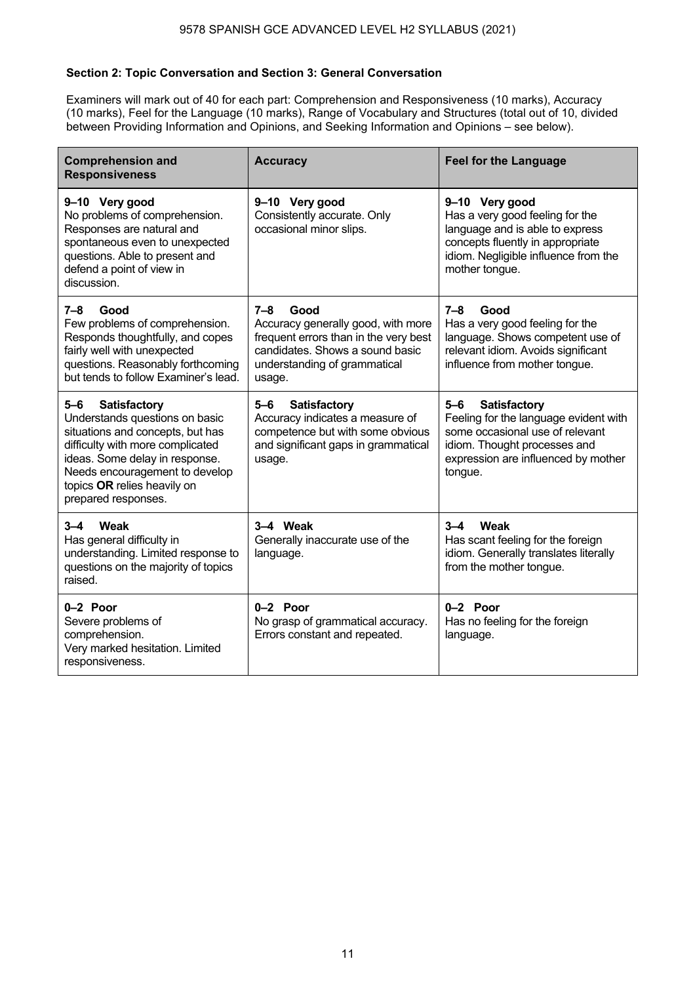### **Section 2: Topic Conversation and Section 3: General Conversation**

Examiners will mark out of 40 for each part: Comprehension and Responsiveness (10 marks), Accuracy (10 marks), Feel for the Language (10 marks), Range of Vocabulary and Structures (total out of 10, divided between Providing Information and Opinions, and Seeking Information and Opinions – see below).

| <b>Comprehension and</b><br><b>Responsiveness</b>                                                                                                                                                                                                              | <b>Accuracy</b>                                                                                                                                                             | <b>Feel for the Language</b>                                                                                                                                                                 |
|----------------------------------------------------------------------------------------------------------------------------------------------------------------------------------------------------------------------------------------------------------------|-----------------------------------------------------------------------------------------------------------------------------------------------------------------------------|----------------------------------------------------------------------------------------------------------------------------------------------------------------------------------------------|
| 9-10 Very good<br>No problems of comprehension.<br>Responses are natural and<br>spontaneous even to unexpected<br>questions. Able to present and<br>defend a point of view in<br>discussion.                                                                   | 9-10 Very good<br>Consistently accurate. Only<br>occasional minor slips.                                                                                                    | 9-10 Very good<br>Has a very good feeling for the<br>language and is able to express<br>concepts fluently in appropriate<br>idiom. Negligible influence from the<br>mother tongue.           |
| $7 - 8$<br>Good<br>Few problems of comprehension.<br>Responds thoughtfully, and copes<br>fairly well with unexpected<br>questions. Reasonably forthcoming<br>but tends to follow Examiner's lead.                                                              | $7 - 8$<br>Good<br>Accuracy generally good, with more<br>frequent errors than in the very best<br>candidates. Shows a sound basic<br>understanding of grammatical<br>usage. | $7 - 8$<br>Good<br>Has a very good feeling for the<br>language. Shows competent use of<br>relevant idiom. Avoids significant<br>influence from mother tongue.                                |
| <b>Satisfactory</b><br>5-6<br>Understands questions on basic<br>situations and concepts, but has<br>difficulty with more complicated<br>ideas. Some delay in response.<br>Needs encouragement to develop<br>topics OR relies heavily on<br>prepared responses. | <b>Satisfactory</b><br>5-6<br>Accuracy indicates a measure of<br>competence but with some obvious<br>and significant gaps in grammatical<br>usage.                          | <b>Satisfactory</b><br>$5 - 6$<br>Feeling for the language evident with<br>some occasional use of relevant<br>idiom. Thought processes and<br>expression are influenced by mother<br>tongue. |
| Weak<br>3–4<br>Has general difficulty in<br>understanding. Limited response to<br>questions on the majority of topics<br>raised.                                                                                                                               | 3-4 Weak<br>Generally inaccurate use of the<br>language.                                                                                                                    | $3 - 4$<br>Weak<br>Has scant feeling for the foreign<br>idiom. Generally translates literally<br>from the mother tongue.                                                                     |
| 0-2 Poor<br>Severe problems of<br>comprehension.<br>Very marked hesitation. Limited<br>responsiveness.                                                                                                                                                         | $0-2$ Poor<br>No grasp of grammatical accuracy.<br>Errors constant and repeated.                                                                                            | 0-2 Poor<br>Has no feeling for the foreign<br>language.                                                                                                                                      |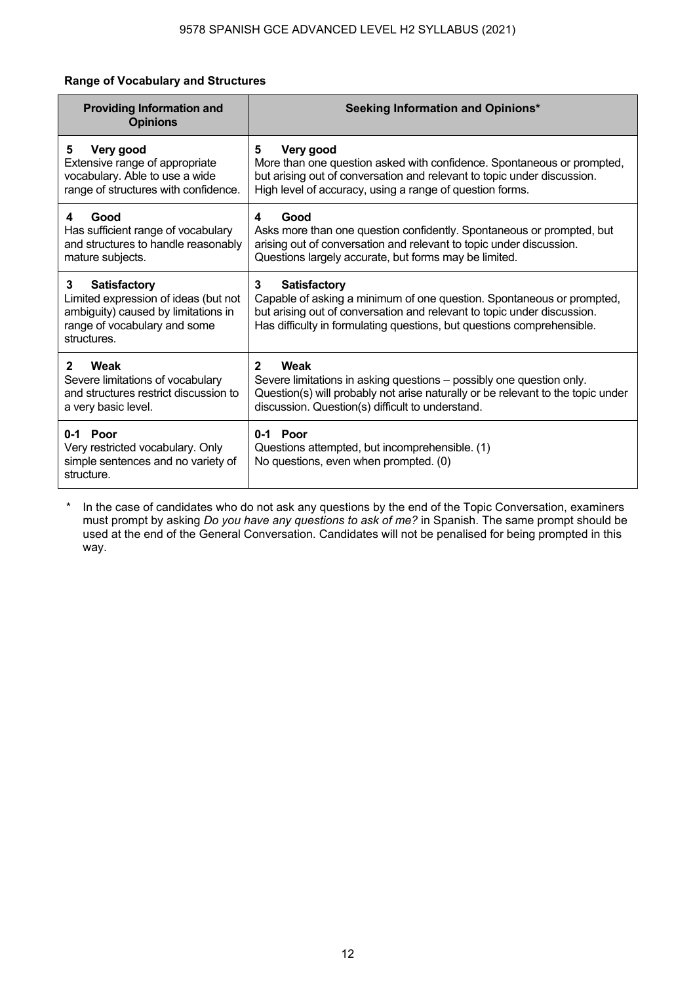# **Range of Vocabulary and Structures**

| <b>Providing Information and</b><br><b>Opinions</b>                                                                                                    | Seeking Information and Opinions*                                                                                                                                                                                                                      |
|--------------------------------------------------------------------------------------------------------------------------------------------------------|--------------------------------------------------------------------------------------------------------------------------------------------------------------------------------------------------------------------------------------------------------|
| Very good                                                                                                                                              | Very good                                                                                                                                                                                                                                              |
| 5                                                                                                                                                      | 5                                                                                                                                                                                                                                                      |
| Extensive range of appropriate                                                                                                                         | More than one question asked with confidence. Spontaneous or prompted,                                                                                                                                                                                 |
| vocabulary. Able to use a wide                                                                                                                         | but arising out of conversation and relevant to topic under discussion.                                                                                                                                                                                |
| range of structures with confidence.                                                                                                                   | High level of accuracy, using a range of question forms.                                                                                                                                                                                               |
| Good                                                                                                                                                   | Good                                                                                                                                                                                                                                                   |
| 4                                                                                                                                                      | 4                                                                                                                                                                                                                                                      |
| Has sufficient range of vocabulary                                                                                                                     | Asks more than one question confidently. Spontaneous or prompted, but                                                                                                                                                                                  |
| and structures to handle reasonably                                                                                                                    | arising out of conversation and relevant to topic under discussion.                                                                                                                                                                                    |
| mature subjects.                                                                                                                                       | Questions largely accurate, but forms may be limited.                                                                                                                                                                                                  |
| <b>Satisfactory</b><br>3<br>Limited expression of ideas (but not<br>ambiguity) caused by limitations in<br>range of vocabulary and some<br>structures. | 3<br><b>Satisfactory</b><br>Capable of asking a minimum of one question. Spontaneous or prompted,<br>but arising out of conversation and relevant to topic under discussion.<br>Has difficulty in formulating questions, but questions comprehensible. |
| $\mathbf{2}$                                                                                                                                           | $\mathbf{2}$                                                                                                                                                                                                                                           |
| Weak                                                                                                                                                   | <b>Weak</b>                                                                                                                                                                                                                                            |
| Severe limitations of vocabulary                                                                                                                       | Severe limitations in asking questions - possibly one question only.                                                                                                                                                                                   |
| and structures restrict discussion to                                                                                                                  | Question(s) will probably not arise naturally or be relevant to the topic under                                                                                                                                                                        |
| a very basic level.                                                                                                                                    | discussion. Question(s) difficult to understand.                                                                                                                                                                                                       |
| 0-1 Poor<br>Very restricted vocabulary. Only<br>simple sentences and no variety of<br>structure.                                                       | 0-1 Poor<br>Questions attempted, but incomprehensible. (1)<br>No questions, even when prompted. (0)                                                                                                                                                    |

\* In the case of candidates who do not ask any questions by the end of the Topic Conversation, examiners must prompt by asking *Do you have any questions to ask of me?* in Spanish. The same prompt should be used at the end of the General Conversation. Candidates will not be penalised for being prompted in this way.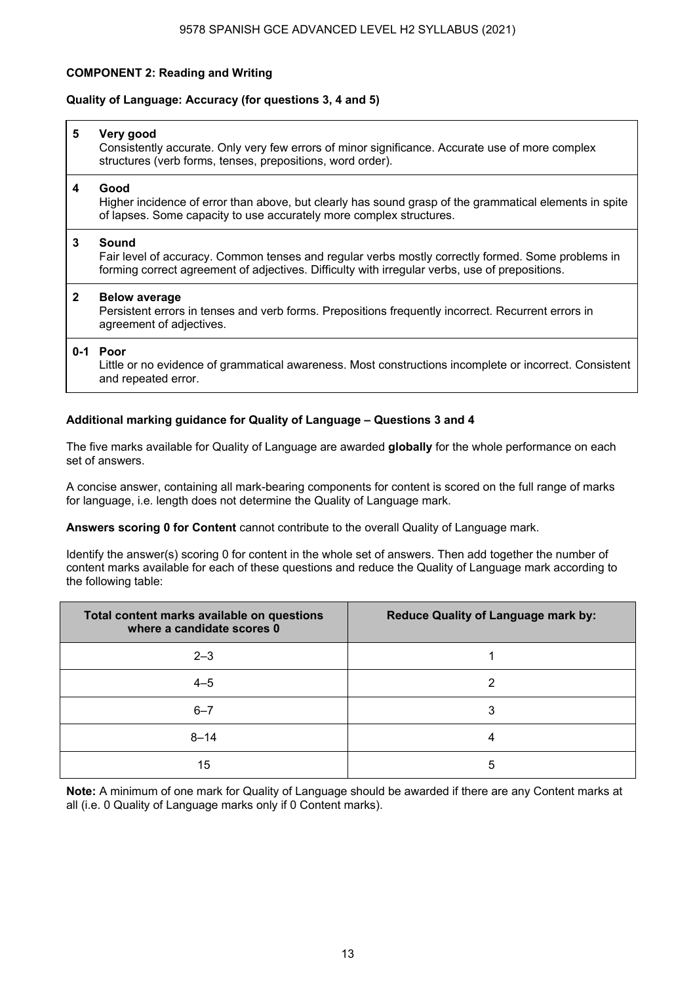# **COMPONENT 2: Reading and Writing**

#### **Quality of Language: Accuracy (for questions 3, 4 and 5)**

| 5            | Very good<br>Consistently accurate. Only very few errors of minor significance. Accurate use of more complex<br>structures (verb forms, tenses, prepositions, word order).                                   |
|--------------|--------------------------------------------------------------------------------------------------------------------------------------------------------------------------------------------------------------|
| 4            | Good<br>Higher incidence of error than above, but clearly has sound grasp of the grammatical elements in spite<br>of lapses. Some capacity to use accurately more complex structures.                        |
| 3            | Sound<br>Fair level of accuracy. Common tenses and regular verbs mostly correctly formed. Some problems in<br>forming correct agreement of adjectives. Difficulty with irregular verbs, use of prepositions. |
| $\mathbf{2}$ | <b>Below average</b><br>Persistent errors in tenses and verb forms. Prepositions frequently incorrect. Recurrent errors in<br>agreement of adjectives.                                                       |
|              | 0-1 Poor<br>Little or no evidence of grammatical awareness. Most constructions incomplete or incorrect. Consistent<br>and repeated error.                                                                    |

### **Additional marking guidance for Quality of Language – Questions 3 and 4**

The five marks available for Quality of Language are awarded **globally** for the whole performance on each set of answers.

A concise answer, containing all mark-bearing components for content is scored on the full range of marks for language, i.e. length does not determine the Quality of Language mark.

**Answers scoring 0 for Content** cannot contribute to the overall Quality of Language mark.

Identify the answer(s) scoring 0 for content in the whole set of answers. Then add together the number of content marks available for each of these questions and reduce the Quality of Language mark according to the following table:

| Total content marks available on questions<br>where a candidate scores 0 | <b>Reduce Quality of Language mark by:</b> |
|--------------------------------------------------------------------------|--------------------------------------------|
| $2 - 3$                                                                  |                                            |
| $4 - 5$                                                                  | 2                                          |
| $6 - 7$                                                                  | 3                                          |
| $8 - 14$                                                                 |                                            |
| 15                                                                       | 5                                          |

**Note:** A minimum of one mark for Quality of Language should be awarded if there are any Content marks at all (i.e. 0 Quality of Language marks only if 0 Content marks).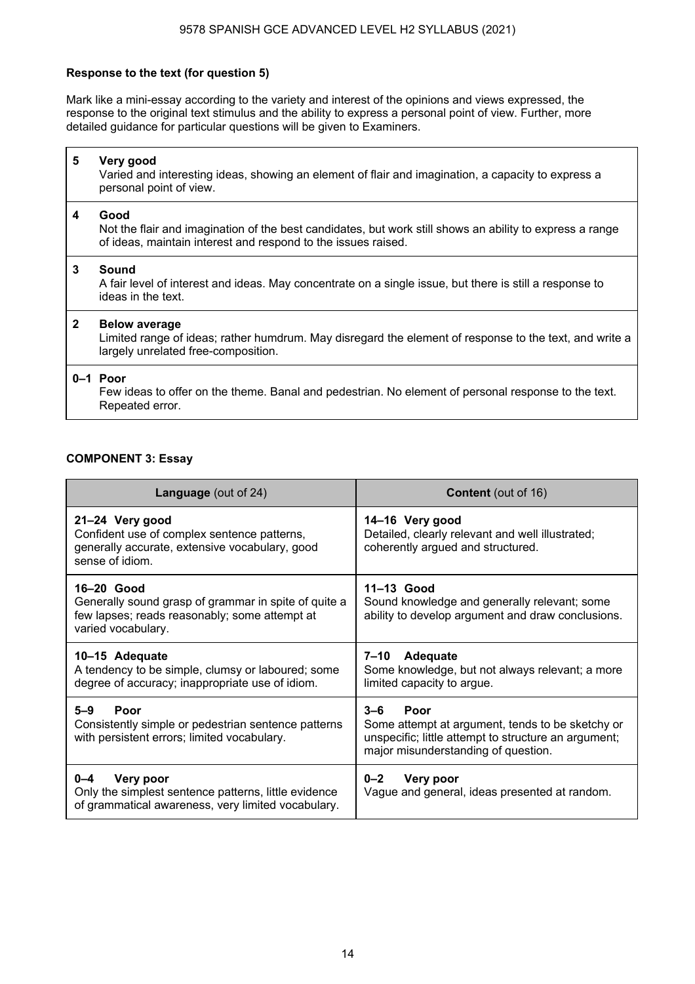#### 9578 SPANISH GCE ADVANCED LEVEL H2 SYLLABUS (2021)

### **Response to the text (for question 5)**

Mark like a mini-essay according to the variety and interest of the opinions and views expressed, the response to the original text stimulus and the ability to express a personal point of view. Further, more detailed guidance for particular questions will be given to Examiners.

| 5            | Very good<br>Varied and interesting ideas, showing an element of flair and imagination, a capacity to express a<br>personal point of view.                                        |
|--------------|-----------------------------------------------------------------------------------------------------------------------------------------------------------------------------------|
| 4            | Good<br>Not the flair and imagination of the best candidates, but work still shows an ability to express a range<br>of ideas, maintain interest and respond to the issues raised. |
| $\mathbf{3}$ | Sound<br>A fair level of interest and ideas. May concentrate on a single issue, but there is still a response to<br>ideas in the text.                                            |
| $\mathbf{2}$ | <b>Below average</b><br>Limited range of ideas; rather humdrum. May disregard the element of response to the text, and write a<br>largely unrelated free-composition.             |
|              | $0-1$ Poor<br>Few ideas to offer on the theme. Banal and pedestrian. No element of personal response to the text.<br>Repeated error.                                              |

### **COMPONENT 3: Essay**

 $\mathbf{r}$ 

| <b>Language</b> (out of 24)                                                                                                               | <b>Content</b> (out of 16)                                                                                                                                                |
|-------------------------------------------------------------------------------------------------------------------------------------------|---------------------------------------------------------------------------------------------------------------------------------------------------------------------------|
| 21-24 Very good<br>Confident use of complex sentence patterns,<br>generally accurate, extensive vocabulary, good<br>sense of idiom.       | 14-16 Very good<br>Detailed, clearly relevant and well illustrated;<br>coherently argued and structured.                                                                  |
| 16-20 Good<br>Generally sound grasp of grammar in spite of quite a<br>few lapses; reads reasonably; some attempt at<br>varied vocabulary. | 11-13 Good<br>Sound knowledge and generally relevant; some<br>ability to develop argument and draw conclusions.                                                           |
| 10-15 Adequate<br>A tendency to be simple, clumsy or laboured; some<br>degree of accuracy; inappropriate use of idiom.                    | 7–10<br>Adequate<br>Some knowledge, but not always relevant; a more<br>limited capacity to argue.                                                                         |
| $5 - 9$<br>Poor<br>Consistently simple or pedestrian sentence patterns<br>with persistent errors; limited vocabulary.                     | $3 - 6$<br><b>Poor</b><br>Some attempt at argument, tends to be sketchy or<br>unspecific; little attempt to structure an argument;<br>major misunderstanding of question. |
| $0 - 4$<br>Very poor<br>Only the simplest sentence patterns, little evidence<br>of grammatical awareness, very limited vocabulary.        | $0 - 2$<br>Very poor<br>Vague and general, ideas presented at random.                                                                                                     |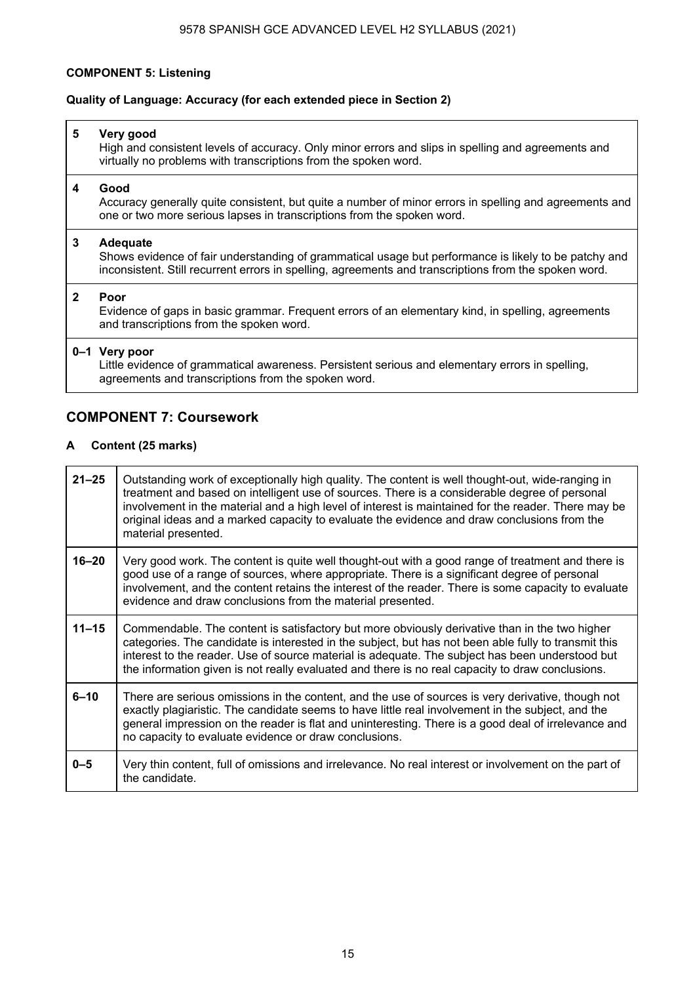#### **COMPONENT 5: Listening**

#### **Quality of Language: Accuracy (for each extended piece in Section 2)**

### **5 Very good**

High and consistent levels of accuracy. Only minor errors and slips in spelling and agreements and virtually no problems with transcriptions from the spoken word.

#### **4 Good**

Accuracy generally quite consistent, but quite a number of minor errors in spelling and agreements and one or two more serious lapses in transcriptions from the spoken word.

#### **3 Adequate**

Shows evidence of fair understanding of grammatical usage but performance is likely to be patchy and inconsistent. Still recurrent errors in spelling, agreements and transcriptions from the spoken word.

#### **2 Poor**

Evidence of gaps in basic grammar. Frequent errors of an elementary kind, in spelling, agreements and transcriptions from the spoken word.

#### **0–1 Very poor**

Little evidence of grammatical awareness. Persistent serious and elementary errors in spelling, agreements and transcriptions from the spoken word.

# **COMPONENT 7: Coursework**

#### **A Content (25 marks)**

| $21 - 25$ | Outstanding work of exceptionally high quality. The content is well thought-out, wide-ranging in<br>treatment and based on intelligent use of sources. There is a considerable degree of personal<br>involvement in the material and a high level of interest is maintained for the reader. There may be<br>original ideas and a marked capacity to evaluate the evidence and draw conclusions from the<br>material presented. |
|-----------|--------------------------------------------------------------------------------------------------------------------------------------------------------------------------------------------------------------------------------------------------------------------------------------------------------------------------------------------------------------------------------------------------------------------------------|
| $16 - 20$ | Very good work. The content is quite well thought-out with a good range of treatment and there is<br>good use of a range of sources, where appropriate. There is a significant degree of personal<br>involvement, and the content retains the interest of the reader. There is some capacity to evaluate<br>evidence and draw conclusions from the material presented.                                                         |
| $11 - 15$ | Commendable. The content is satisfactory but more obviously derivative than in the two higher<br>categories. The candidate is interested in the subject, but has not been able fully to transmit this<br>interest to the reader. Use of source material is adequate. The subject has been understood but<br>the information given is not really evaluated and there is no real capacity to draw conclusions.                   |
| $6 - 10$  | There are serious omissions in the content, and the use of sources is very derivative, though not<br>exactly plagiaristic. The candidate seems to have little real involvement in the subject, and the<br>general impression on the reader is flat and uninteresting. There is a good deal of irrelevance and<br>no capacity to evaluate evidence or draw conclusions.                                                         |
| $0 - 5$   | Very thin content, full of omissions and irrelevance. No real interest or involvement on the part of<br>the candidate.                                                                                                                                                                                                                                                                                                         |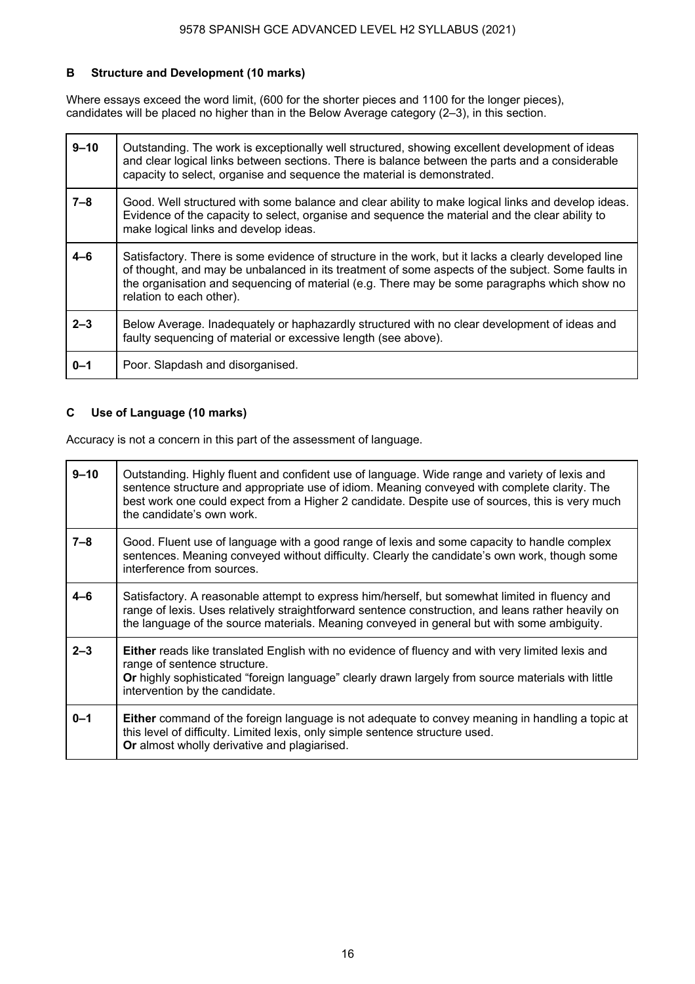# **B Structure and Development (10 marks)**

Where essays exceed the word limit, (600 for the shorter pieces and 1100 for the longer pieces), candidates will be placed no higher than in the Below Average category (2–3), in this section.

| $9 - 10$ | Outstanding. The work is exceptionally well structured, showing excellent development of ideas<br>and clear logical links between sections. There is balance between the parts and a considerable<br>capacity to select, organise and sequence the material is demonstrated.                                                          |
|----------|---------------------------------------------------------------------------------------------------------------------------------------------------------------------------------------------------------------------------------------------------------------------------------------------------------------------------------------|
| $7 - 8$  | Good. Well structured with some balance and clear ability to make logical links and develop ideas.<br>Evidence of the capacity to select, organise and sequence the material and the clear ability to<br>make logical links and develop ideas.                                                                                        |
| $4 - 6$  | Satisfactory. There is some evidence of structure in the work, but it lacks a clearly developed line<br>of thought, and may be unbalanced in its treatment of some aspects of the subject. Some faults in<br>the organisation and sequencing of material (e.g. There may be some paragraphs which show no<br>relation to each other). |
| $2 - 3$  | Below Average. Inadequately or haphazardly structured with no clear development of ideas and<br>faulty sequencing of material or excessive length (see above).                                                                                                                                                                        |
| $0 - 1$  | Poor. Slapdash and disorganised.                                                                                                                                                                                                                                                                                                      |

### **C Use of Language (10 marks)**

Accuracy is not a concern in this part of the assessment of language.

| $9 - 10$ | Outstanding. Highly fluent and confident use of language. Wide range and variety of lexis and<br>sentence structure and appropriate use of idiom. Meaning conveyed with complete clarity. The<br>best work one could expect from a Higher 2 candidate. Despite use of sources, this is very much<br>the candidate's own work. |
|----------|-------------------------------------------------------------------------------------------------------------------------------------------------------------------------------------------------------------------------------------------------------------------------------------------------------------------------------|
| $7 - 8$  | Good. Fluent use of language with a good range of lexis and some capacity to handle complex<br>sentences. Meaning conveyed without difficulty. Clearly the candidate's own work, though some<br>interference from sources.                                                                                                    |
| $4 - 6$  | Satisfactory. A reasonable attempt to express him/herself, but somewhat limited in fluency and<br>range of lexis. Uses relatively straightforward sentence construction, and leans rather heavily on<br>the language of the source materials. Meaning conveyed in general but with some ambiguity.                            |
| $2 - 3$  | <b>Either</b> reads like translated English with no evidence of fluency and with very limited lexis and<br>range of sentence structure.<br>Or highly sophisticated "foreign language" clearly drawn largely from source materials with little<br>intervention by the candidate.                                               |
| $0 - 1$  | <b>Either</b> command of the foreign language is not adequate to convey meaning in handling a topic at<br>this level of difficulty. Limited lexis, only simple sentence structure used.<br>Or almost wholly derivative and plagiarised.                                                                                       |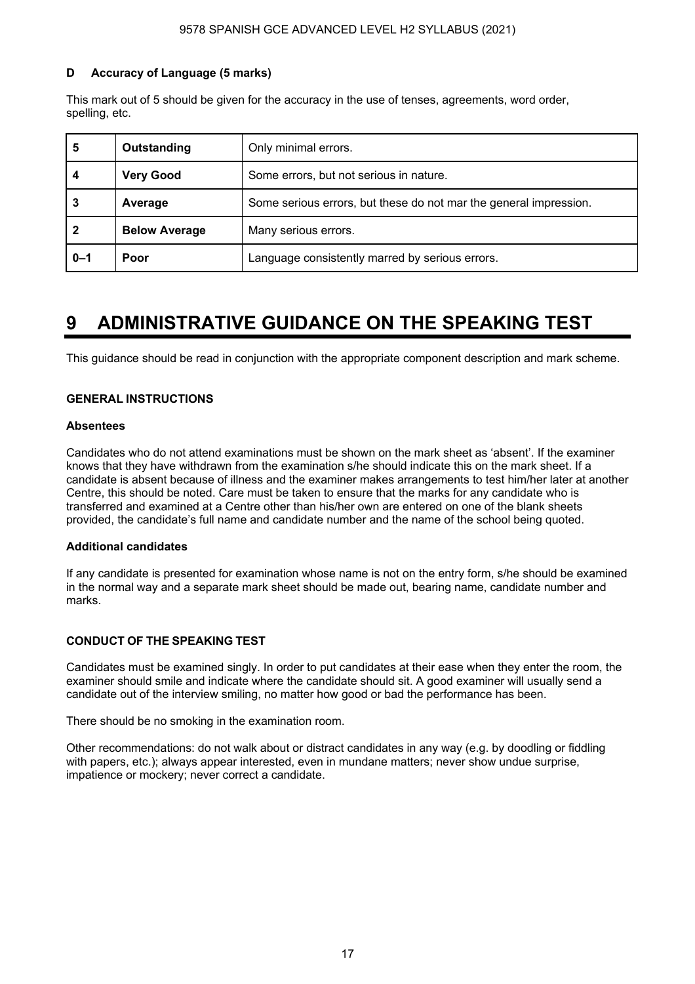# **D Accuracy of Language (5 marks)**

This mark out of 5 should be given for the accuracy in the use of tenses, agreements, word order, spelling, etc.

| 5       | Outstanding          | Only minimal errors.                                              |  |  |  |  |  |
|---------|----------------------|-------------------------------------------------------------------|--|--|--|--|--|
|         | <b>Very Good</b>     | Some errors, but not serious in nature.                           |  |  |  |  |  |
| 3       | Average              | Some serious errors, but these do not mar the general impression. |  |  |  |  |  |
| 2       | <b>Below Average</b> | Many serious errors.                                              |  |  |  |  |  |
| $0 - 1$ | Poor                 | Language consistently marred by serious errors.                   |  |  |  |  |  |

# **9 ADMINISTRATIVE GUIDANCE ON THE SPEAKING TEST**

This guidance should be read in conjunction with the appropriate component description and mark scheme.

### **GENERAL INSTRUCTIONS**

#### **Absentees**

Candidates who do not attend examinations must be shown on the mark sheet as 'absent'. If the examiner knows that they have withdrawn from the examination s/he should indicate this on the mark sheet. If a candidate is absent because of illness and the examiner makes arrangements to test him/her later at another Centre, this should be noted. Care must be taken to ensure that the marks for any candidate who is transferred and examined at a Centre other than his/her own are entered on one of the blank sheets provided, the candidate's full name and candidate number and the name of the school being quoted.

#### **Additional candidates**

If any candidate is presented for examination whose name is not on the entry form, s/he should be examined in the normal way and a separate mark sheet should be made out, bearing name, candidate number and marks.

#### **CONDUCT OF THE SPEAKING TEST**

Candidates must be examined singly. In order to put candidates at their ease when they enter the room, the examiner should smile and indicate where the candidate should sit. A good examiner will usually send a candidate out of the interview smiling, no matter how good or bad the performance has been.

There should be no smoking in the examination room.

Other recommendations: do not walk about or distract candidates in any way (e.g. by doodling or fiddling with papers, etc.); always appear interested, even in mundane matters; never show undue surprise, impatience or mockery; never correct a candidate.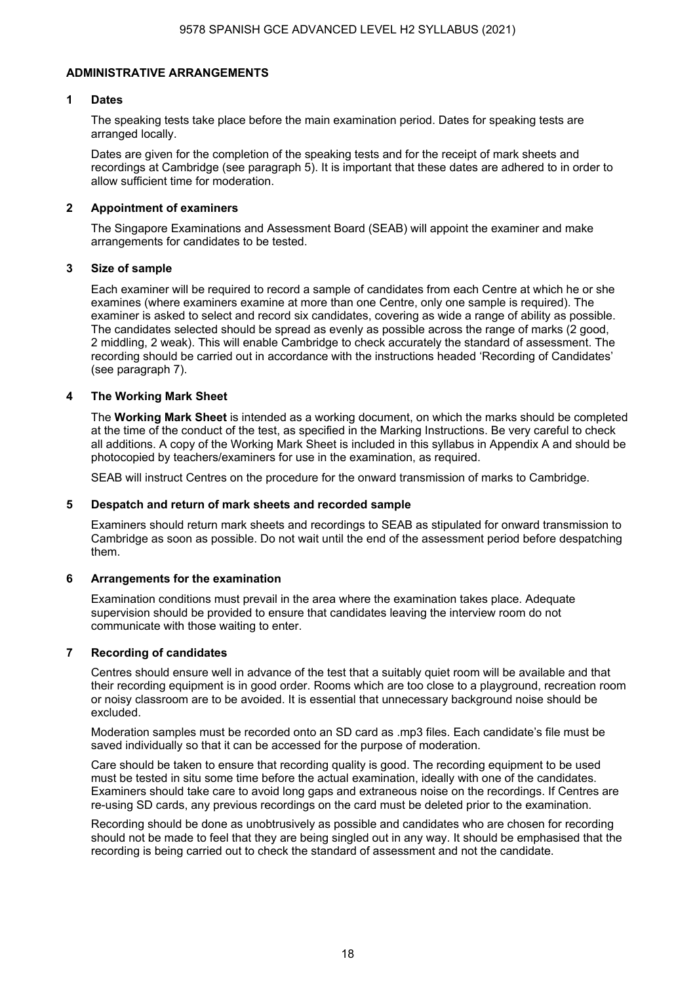### **ADMINISTRATIVE ARRANGEMENTS**

### **1 Dates**

 The speaking tests take place before the main examination period. Dates for speaking tests are arranged locally.

 Dates are given for the completion of the speaking tests and for the receipt of mark sheets and recordings at Cambridge (see paragraph 5). It is important that these dates are adhered to in order to allow sufficient time for moderation.

#### **2 Appointment of examiners**

 The Singapore Examinations and Assessment Board (SEAB) will appoint the examiner and make arrangements for candidates to be tested.

#### **3 Size of sample**

 Each examiner will be required to record a sample of candidates from each Centre at which he or she examines (where examiners examine at more than one Centre, only one sample is required). The examiner is asked to select and record six candidates, covering as wide a range of ability as possible. The candidates selected should be spread as evenly as possible across the range of marks (2 good, 2 middling, 2 weak). This will enable Cambridge to check accurately the standard of assessment. The recording should be carried out in accordance with the instructions headed 'Recording of Candidates' (see paragraph 7).

### **4 The Working Mark Sheet**

The **Working Mark Sheet** is intended as a working document, on which the marks should be completed at the time of the conduct of the test, as specified in the Marking Instructions. Be very careful to check all additions. A copy of the Working Mark Sheet is included in this syllabus in Appendix A and should be photocopied by teachers/examiners for use in the examination, as required.

SEAB will instruct Centres on the procedure for the onward transmission of marks to Cambridge.

#### **5 Despatch and return of mark sheets and recorded sample**

 Examiners should return mark sheets and recordings to SEAB as stipulated for onward transmission to Cambridge as soon as possible. Do not wait until the end of the assessment period before despatching them.

#### **6 Arrangements for the examination**

Examination conditions must prevail in the area where the examination takes place. Adequate supervision should be provided to ensure that candidates leaving the interview room do not communicate with those waiting to enter.

#### **7 Recording of candidates**

 Centres should ensure well in advance of the test that a suitably quiet room will be available and that their recording equipment is in good order. Rooms which are too close to a playground, recreation room or noisy classroom are to be avoided. It is essential that unnecessary background noise should be excluded.

 Moderation samples must be recorded onto an SD card as .mp3 files. Each candidate's file must be saved individually so that it can be accessed for the purpose of moderation.

 Care should be taken to ensure that recording quality is good. The recording equipment to be used must be tested in situ some time before the actual examination, ideally with one of the candidates. Examiners should take care to avoid long gaps and extraneous noise on the recordings. If Centres are re-using SD cards, any previous recordings on the card must be deleted prior to the examination.

 Recording should be done as unobtrusively as possible and candidates who are chosen for recording should not be made to feel that they are being singled out in any way. It should be emphasised that the recording is being carried out to check the standard of assessment and not the candidate.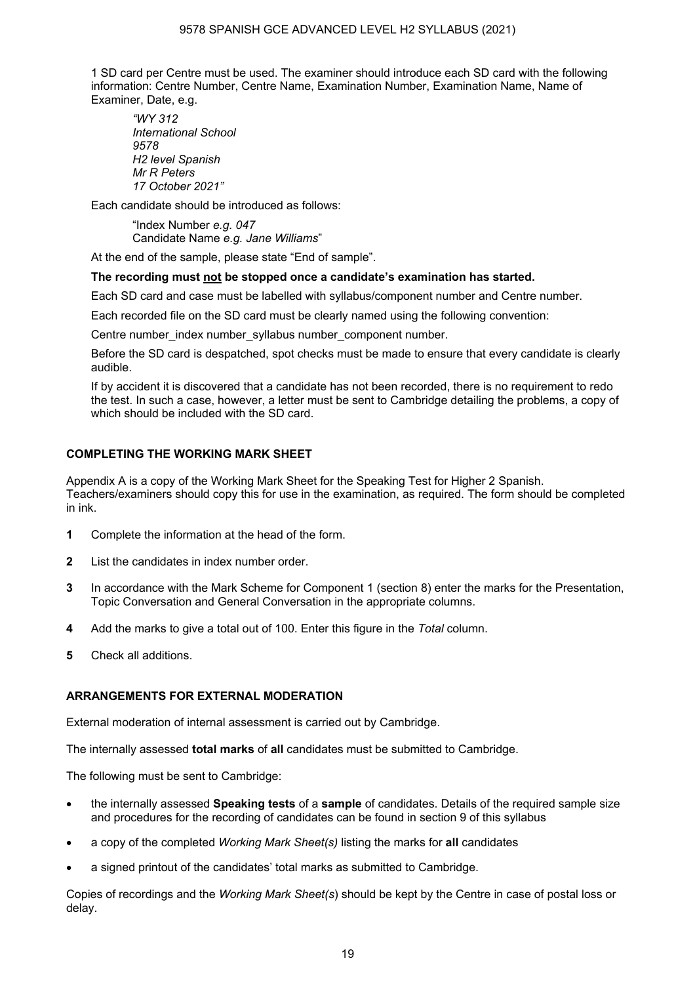#### 9578 SPANISH GCE ADVANCED LEVEL H2 SYLLABUS (2021)

 1 SD card per Centre must be used. The examiner should introduce each SD card with the following information: Centre Number, Centre Name, Examination Number, Examination Name, Name of Examiner, Date, e.g.

*"WY 312 International School 9578 H2 level Spanish Mr R Peters 17 October 2021"*

Each candidate should be introduced as follows:

"Index Number *e.g. 047* Candidate Name *e.g. Jane Williams*"

At the end of the sample, please state "End of sample".

#### **The recording must not be stopped once a candidate's examination has started.**

Each SD card and case must be labelled with syllabus/component number and Centre number.

Each recorded file on the SD card must be clearly named using the following convention:

Centre number\_index number\_syllabus number\_component number.

Before the SD card is despatched, spot checks must be made to ensure that every candidate is clearly audible.

If by accident it is discovered that a candidate has not been recorded, there is no requirement to redo the test. In such a case, however, a letter must be sent to Cambridge detailing the problems, a copy of which should be included with the SD card.

# **COMPLETING THE WORKING MARK SHEET**

Appendix A is a copy of the Working Mark Sheet for the Speaking Test for Higher 2 Spanish. Teachers/examiners should copy this for use in the examination, as required. The form should be completed in ink.

- **1** Complete the information at the head of the form.
- **2** List the candidates in index number order.
- **3** In accordance with the Mark Scheme for Component 1 (section 8) enter the marks for the Presentation, Topic Conversation and General Conversation in the appropriate columns.
- **4** Add the marks to give a total out of 100. Enter this figure in the *Total* column.
- **5** Check all additions.

#### **ARRANGEMENTS FOR EXTERNAL MODERATION**

External moderation of internal assessment is carried out by Cambridge.

The internally assessed **total marks** of **all** candidates must be submitted to Cambridge.

The following must be sent to Cambridge:

- the internally assessed **Speaking tests** of a **sample** of candidates. Details of the required sample size and procedures for the recording of candidates can be found in section 9 of this syllabus
- a copy of the completed *Working Mark Sheet(s)* listing the marks for **all** candidates
- a signed printout of the candidates' total marks as submitted to Cambridge.

Copies of recordings and the *Working Mark Sheet(s*) should be kept by the Centre in case of postal loss or delay.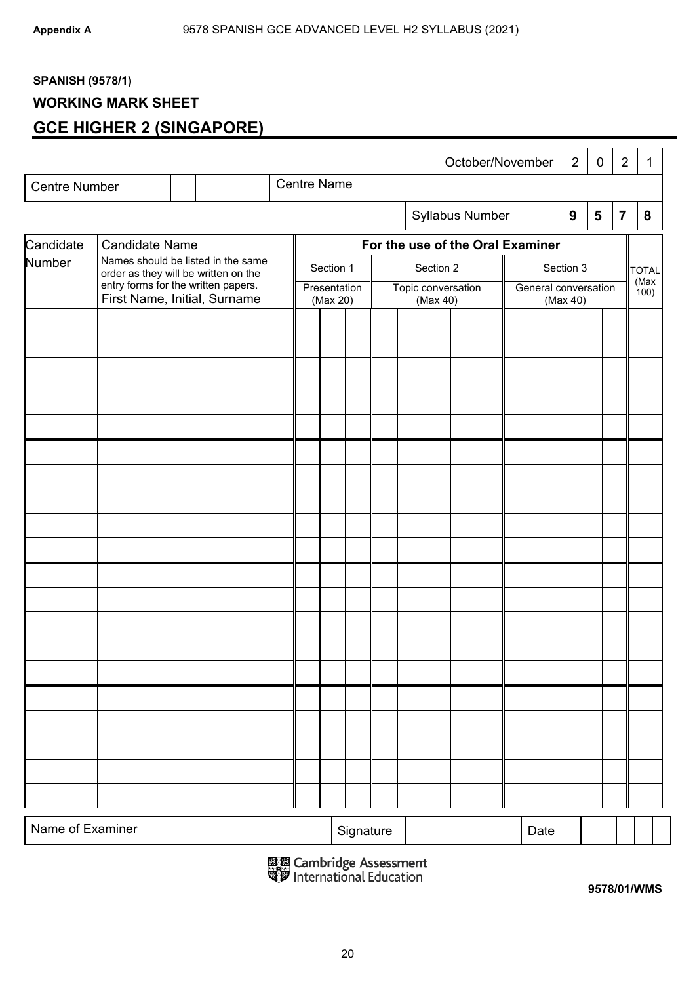# **SPANISH (9578/1)**

# **WORKING MARK SHEET**

# **GCE HIGHER 2 (SINGAPORE)**

|                      |                                                                            |  |  |  |                          |           |                    |          |                    |  |                                  |  | October/November                 |           |      | 2            | $\mathbf 0$ |                | $\overline{2}$<br>1 |
|----------------------|----------------------------------------------------------------------------|--|--|--|--------------------------|-----------|--------------------|----------|--------------------|--|----------------------------------|--|----------------------------------|-----------|------|--------------|-------------|----------------|---------------------|
| <b>Centre Number</b> |                                                                            |  |  |  |                          |           | <b>Centre Name</b> |          |                    |  |                                  |  |                                  |           |      |              |             |                |                     |
|                      |                                                                            |  |  |  |                          |           |                    |          |                    |  |                                  |  | Syllabus Number                  |           |      | 9            | 5           | $\overline{7}$ | 8                   |
| Candidate            | <b>Candidate Name</b>                                                      |  |  |  |                          |           |                    |          |                    |  |                                  |  | For the use of the Oral Examiner |           |      |              |             |                |                     |
| Number               | Names should be listed in the same<br>order as they will be written on the |  |  |  |                          | Section 1 |                    |          | Section 2          |  |                                  |  |                                  | Section 3 |      |              |             |                |                     |
|                      | entry forms for the written papers.<br>First Name, Initial, Surname        |  |  |  | Presentation<br>(Max 20) |           |                    | (Max 40) | Topic conversation |  | General conversation<br>(Max 40) |  |                                  |           |      | (Max<br>100) |             |                |                     |
|                      |                                                                            |  |  |  |                          |           |                    |          |                    |  |                                  |  |                                  |           |      |              |             |                |                     |
|                      |                                                                            |  |  |  |                          |           |                    |          |                    |  |                                  |  |                                  |           |      |              |             |                |                     |
|                      |                                                                            |  |  |  |                          |           |                    |          |                    |  |                                  |  |                                  |           |      |              |             |                |                     |
|                      |                                                                            |  |  |  |                          |           |                    |          |                    |  |                                  |  |                                  |           |      |              |             |                |                     |
|                      |                                                                            |  |  |  |                          |           |                    |          |                    |  |                                  |  |                                  |           |      |              |             |                |                     |
|                      |                                                                            |  |  |  |                          |           |                    |          |                    |  |                                  |  |                                  |           |      |              |             |                |                     |
|                      |                                                                            |  |  |  |                          |           |                    |          |                    |  |                                  |  |                                  |           |      |              |             |                |                     |
|                      |                                                                            |  |  |  |                          |           |                    |          |                    |  |                                  |  |                                  |           |      |              |             |                |                     |
|                      |                                                                            |  |  |  |                          |           |                    |          |                    |  |                                  |  |                                  |           |      |              |             |                |                     |
|                      |                                                                            |  |  |  |                          |           |                    |          |                    |  |                                  |  |                                  |           |      |              |             |                |                     |
|                      |                                                                            |  |  |  |                          |           |                    |          |                    |  |                                  |  |                                  |           |      |              |             |                |                     |
|                      |                                                                            |  |  |  |                          |           |                    |          |                    |  |                                  |  |                                  |           |      |              |             |                |                     |
|                      |                                                                            |  |  |  |                          |           |                    |          |                    |  |                                  |  |                                  |           |      |              |             |                |                     |
|                      |                                                                            |  |  |  |                          |           |                    |          |                    |  |                                  |  |                                  |           |      |              |             |                |                     |
|                      |                                                                            |  |  |  |                          |           |                    |          |                    |  |                                  |  |                                  |           |      |              |             |                |                     |
|                      |                                                                            |  |  |  |                          |           |                    |          |                    |  |                                  |  |                                  |           |      |              |             |                |                     |
|                      |                                                                            |  |  |  |                          |           |                    |          |                    |  |                                  |  |                                  |           |      |              |             |                |                     |
|                      |                                                                            |  |  |  |                          |           |                    |          |                    |  |                                  |  |                                  |           |      |              |             |                |                     |
|                      |                                                                            |  |  |  |                          |           |                    |          |                    |  |                                  |  |                                  |           |      |              |             |                |                     |
|                      |                                                                            |  |  |  |                          |           |                    |          |                    |  |                                  |  |                                  |           |      |              |             |                |                     |
| Name of Examiner     |                                                                            |  |  |  |                          |           |                    |          | Signature          |  |                                  |  |                                  |           | Date |              |             |                |                     |

鳳凰 Cambridge Assessment<br>③罗 International Education

**9578/01/WMS**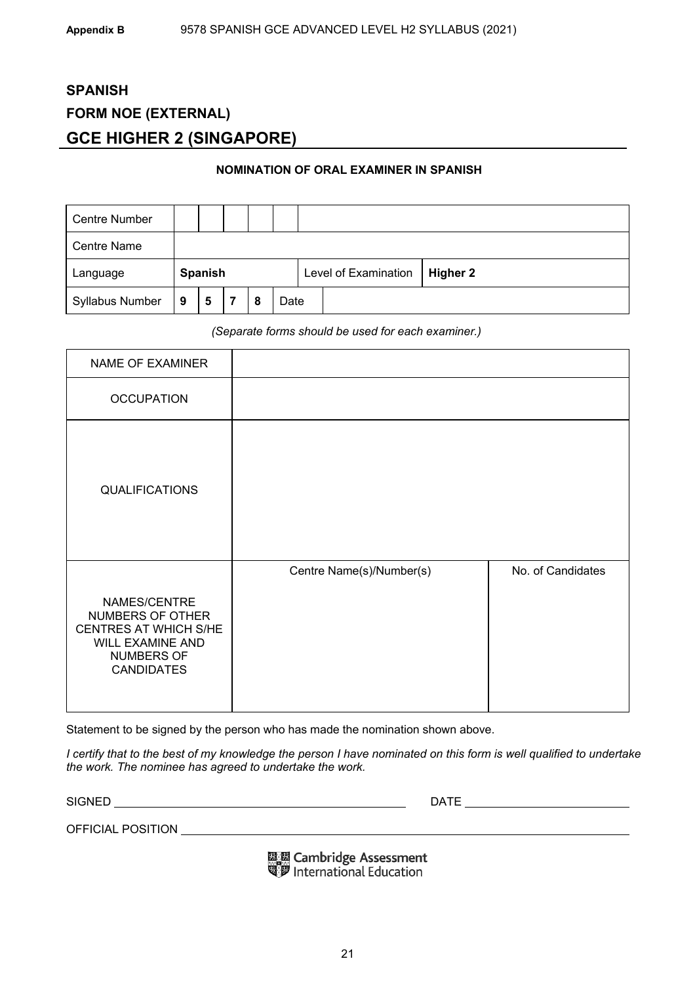# **SPANISH FORM NOE (EXTERNAL) GCE HIGHER 2 (SINGAPORE)**

#### **NOMINATION OF ORAL EXAMINER IN SPANISH**

| <b>Centre Number</b>   |         |   |  |   |                      |          |  |  |
|------------------------|---------|---|--|---|----------------------|----------|--|--|
| <b>Centre Name</b>     |         |   |  |   |                      |          |  |  |
| Language               | Spanish |   |  |   | Level of Examination | Higher 2 |  |  |
| <b>Syllabus Number</b> | 9       | 5 |  | 8 | Date                 |          |  |  |

*(Separate forms should be used for each examiner.)* 

| NAME OF EXAMINER                                                                                                 |                          |                   |
|------------------------------------------------------------------------------------------------------------------|--------------------------|-------------------|
| <b>OCCUPATION</b>                                                                                                |                          |                   |
| <b>QUALIFICATIONS</b>                                                                                            |                          |                   |
| NAMES/CENTRE<br>NUMBERS OF OTHER<br>CENTRES AT WHICH S/HE<br>WILL EXAMINE AND<br>NUMBERS OF<br><b>CANDIDATES</b> | Centre Name(s)/Number(s) | No. of Candidates |

Statement to be signed by the person who has made the nomination shown above.

*I certify that to the best of my knowledge the person I have nominated on this form is well qualified to undertake the work. The nominee has agreed to undertake the work.* 

SIGNED DATE

OFFICIAL POSITION

**ELE Cambridge Assessment**<br>Signal International Education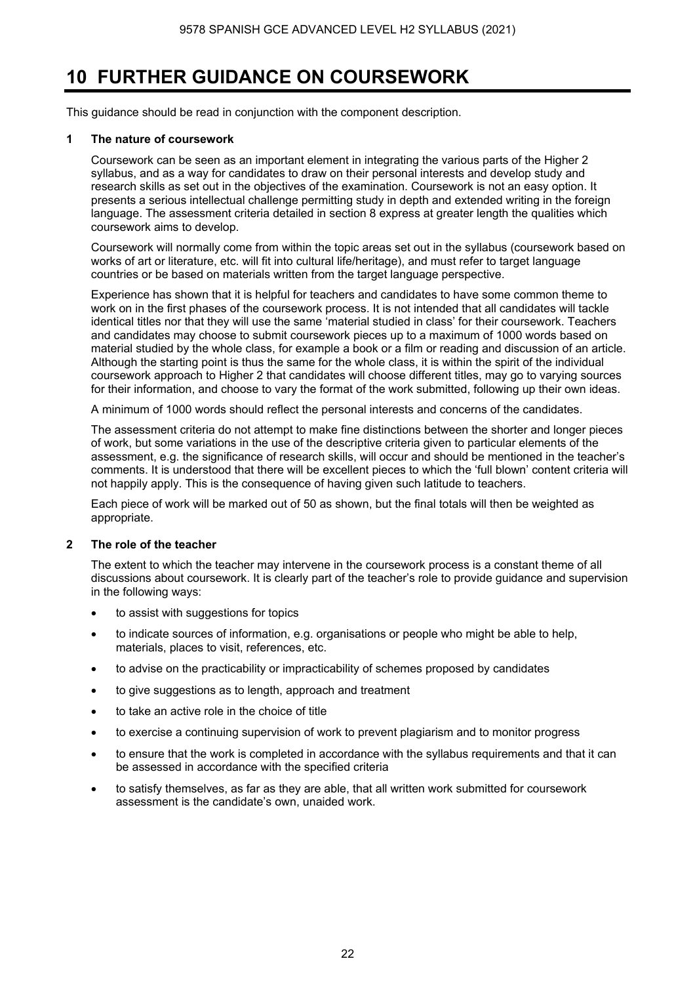# **10 FURTHER GUIDANCE ON COURSEWORK**

This guidance should be read in conjunction with the component description.

#### **1 The nature of coursework**

 Coursework can be seen as an important element in integrating the various parts of the Higher 2 syllabus, and as a way for candidates to draw on their personal interests and develop study and research skills as set out in the objectives of the examination. Coursework is not an easy option. It presents a serious intellectual challenge permitting study in depth and extended writing in the foreign language. The assessment criteria detailed in section 8 express at greater length the qualities which coursework aims to develop.

 Coursework will normally come from within the topic areas set out in the syllabus (coursework based on works of art or literature, etc. will fit into cultural life/heritage), and must refer to target language countries or be based on materials written from the target language perspective.

 Experience has shown that it is helpful for teachers and candidates to have some common theme to work on in the first phases of the coursework process. It is not intended that all candidates will tackle identical titles nor that they will use the same 'material studied in class' for their coursework. Teachers and candidates may choose to submit coursework pieces up to a maximum of 1000 words based on material studied by the whole class, for example a book or a film or reading and discussion of an article. Although the starting point is thus the same for the whole class, it is within the spirit of the individual coursework approach to Higher 2 that candidates will choose different titles, may go to varying sources for their information, and choose to vary the format of the work submitted, following up their own ideas.

A minimum of 1000 words should reflect the personal interests and concerns of the candidates.

 The assessment criteria do not attempt to make fine distinctions between the shorter and longer pieces of work, but some variations in the use of the descriptive criteria given to particular elements of the assessment, e.g. the significance of research skills, will occur and should be mentioned in the teacher's comments. It is understood that there will be excellent pieces to which the 'full blown' content criteria will not happily apply. This is the consequence of having given such latitude to teachers.

Each piece of work will be marked out of 50 as shown, but the final totals will then be weighted as appropriate.

#### **2 The role of the teacher**

The extent to which the teacher may intervene in the coursework process is a constant theme of all discussions about coursework. It is clearly part of the teacher's role to provide guidance and supervision in the following ways:

- to assist with suggestions for topics
- to indicate sources of information, e.g. organisations or people who might be able to help, materials, places to visit, references, etc.
- to advise on the practicability or impracticability of schemes proposed by candidates
- to give suggestions as to length, approach and treatment
- to take an active role in the choice of title
- to exercise a continuing supervision of work to prevent plagiarism and to monitor progress
- to ensure that the work is completed in accordance with the syllabus requirements and that it can be assessed in accordance with the specified criteria
- to satisfy themselves, as far as they are able, that all written work submitted for coursework assessment is the candidate's own, unaided work.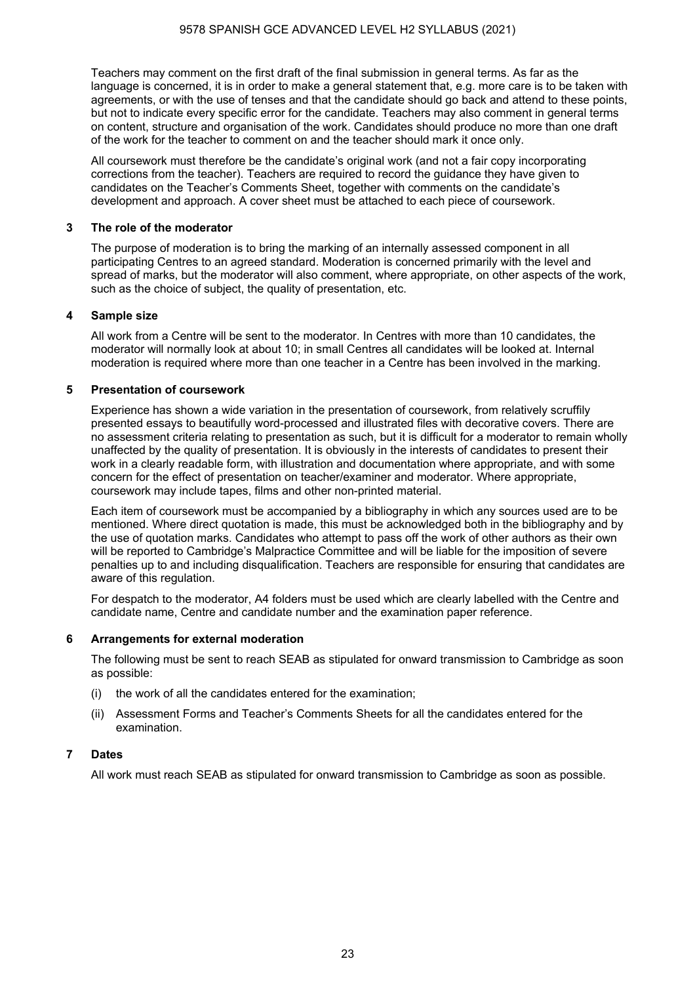Teachers may comment on the first draft of the final submission in general terms. As far as the language is concerned, it is in order to make a general statement that, e.g. more care is to be taken with agreements, or with the use of tenses and that the candidate should go back and attend to these points, but not to indicate every specific error for the candidate. Teachers may also comment in general terms on content, structure and organisation of the work. Candidates should produce no more than one draft of the work for the teacher to comment on and the teacher should mark it once only.

All coursework must therefore be the candidate's original work (and not a fair copy incorporating corrections from the teacher). Teachers are required to record the guidance they have given to candidates on the Teacher's Comments Sheet, together with comments on the candidate's development and approach. A cover sheet must be attached to each piece of coursework.

#### **3 The role of the moderator**

The purpose of moderation is to bring the marking of an internally assessed component in all participating Centres to an agreed standard. Moderation is concerned primarily with the level and spread of marks, but the moderator will also comment, where appropriate, on other aspects of the work, such as the choice of subject, the quality of presentation, etc.

#### **4 Sample size**

All work from a Centre will be sent to the moderator. In Centres with more than 10 candidates, the moderator will normally look at about 10; in small Centres all candidates will be looked at. Internal moderation is required where more than one teacher in a Centre has been involved in the marking.

#### **5 Presentation of coursework**

Experience has shown a wide variation in the presentation of coursework, from relatively scruffily presented essays to beautifully word-processed and illustrated files with decorative covers. There are no assessment criteria relating to presentation as such, but it is difficult for a moderator to remain wholly unaffected by the quality of presentation. It is obviously in the interests of candidates to present their work in a clearly readable form, with illustration and documentation where appropriate, and with some concern for the effect of presentation on teacher/examiner and moderator. Where appropriate, coursework may include tapes, films and other non-printed material.

Each item of coursework must be accompanied by a bibliography in which any sources used are to be mentioned. Where direct quotation is made, this must be acknowledged both in the bibliography and by the use of quotation marks. Candidates who attempt to pass off the work of other authors as their own will be reported to Cambridge's Malpractice Committee and will be liable for the imposition of severe penalties up to and including disqualification. Teachers are responsible for ensuring that candidates are aware of this regulation.

For despatch to the moderator, A4 folders must be used which are clearly labelled with the Centre and candidate name, Centre and candidate number and the examination paper reference.

#### **6 Arrangements for external moderation**

The following must be sent to reach SEAB as stipulated for onward transmission to Cambridge as soon as possible:

- (i) the work of all the candidates entered for the examination;
- (ii) Assessment Forms and Teacher's Comments Sheets for all the candidates entered for the examination.

# **7 Dates**

All work must reach SEAB as stipulated for onward transmission to Cambridge as soon as possible.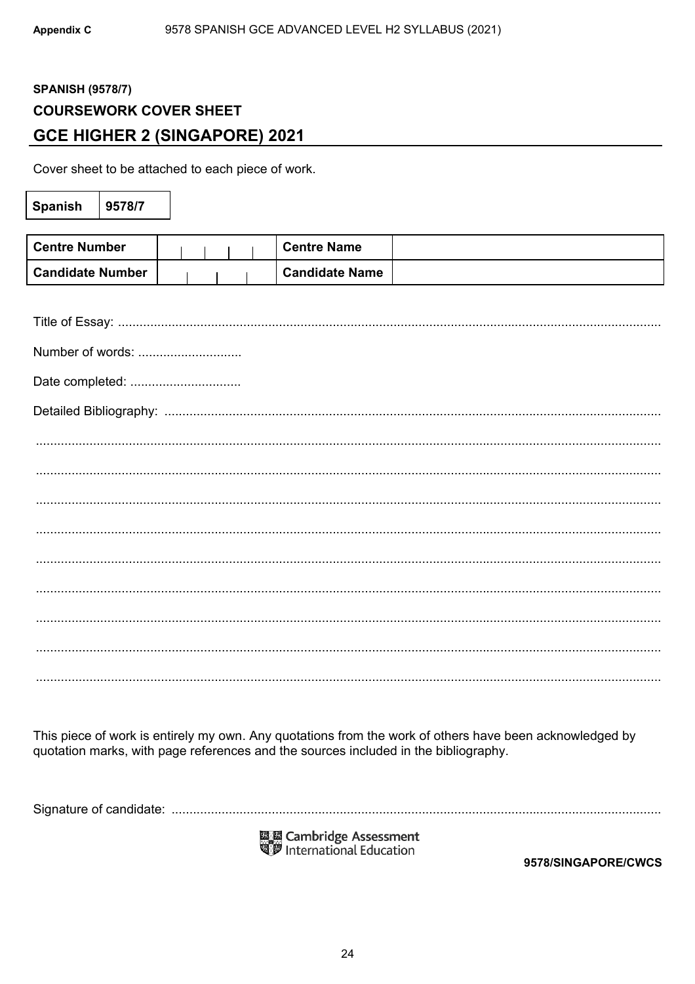# **SPANISH (9578/7) COURSEWORK COVER SHEET GCE HIGHER 2 (SINGAPORE) 2021**

Cover sheet to be attached to each piece of work.

| Spanish                 | 9578/7 |  |  |                       |  |  |  |
|-------------------------|--------|--|--|-----------------------|--|--|--|
|                         |        |  |  |                       |  |  |  |
| <b>Centre Number</b>    |        |  |  | <b>Centre Name</b>    |  |  |  |
| <b>Candidate Number</b> |        |  |  | <b>Candidate Name</b> |  |  |  |
|                         |        |  |  |                       |  |  |  |
|                         |        |  |  |                       |  |  |  |
| Number of words:        |        |  |  |                       |  |  |  |
| Date completed:         |        |  |  |                       |  |  |  |
|                         |        |  |  |                       |  |  |  |
|                         |        |  |  |                       |  |  |  |
|                         |        |  |  |                       |  |  |  |
|                         |        |  |  |                       |  |  |  |
|                         |        |  |  |                       |  |  |  |
|                         |        |  |  |                       |  |  |  |
|                         |        |  |  |                       |  |  |  |
|                         |        |  |  |                       |  |  |  |
|                         |        |  |  |                       |  |  |  |
|                         |        |  |  |                       |  |  |  |

This piece of work is entirely my own. Any quotations from the work of others have been acknowledged by quotation marks, with page references and the sources included in the bibliography.

國國 Cambridge Assessment<br>『夢 International Education

9578/SINGAPORE/CWCS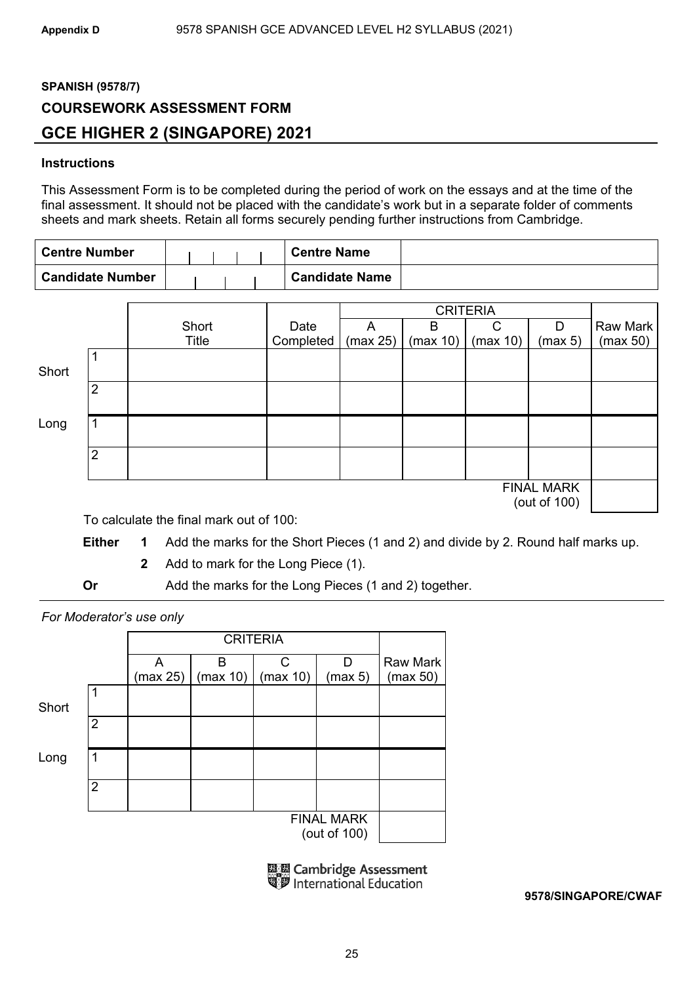# **SPANISH (9578/7) COURSEWORK ASSESSMENT FORM GCE HIGHER 2 (SINGAPORE) 2021**

# **Instructions**

This Assessment Form is to be completed during the period of work on the essays and at the time of the final assessment. It should not be placed with the candidate's work but in a separate folder of comments sheets and mark sheets. Retain all forms securely pending further instructions from Cambridge.

| <b>Centre Number</b>    |  |  | <b>Centre Name</b>    |  |
|-------------------------|--|--|-----------------------|--|
| <b>Candidate Number</b> |  |  | <b>Candidate Name</b> |  |

|       |                |       |           |          | <b>CRITERIA</b> |          |                                   |          |
|-------|----------------|-------|-----------|----------|-----------------|----------|-----------------------------------|----------|
|       |                | Short | Date      | A        | В               | C        | D                                 | Raw Mark |
|       |                | Title | Completed | (max 25) | (max 10)        | (max 10) | (max 5)                           | (max 50) |
| Short |                |       |           |          |                 |          |                                   |          |
|       | $\overline{2}$ |       |           |          |                 |          |                                   |          |
| Long  |                |       |           |          |                 |          |                                   |          |
|       | $\overline{2}$ |       |           |          |                 |          |                                   |          |
|       |                |       |           |          |                 |          | <b>FINAL MARK</b><br>(out of 100) |          |

To calculate the final mark out of 100:

**Either 1** Add the marks for the Short Pieces (1 and 2) and divide by 2. Round half marks up.

**2** Add to mark for the Long Piece (1).

**Or** Add the marks for the Long Pieces (1 and 2) together.

*For Moderator's use only* 

|       |                |          | <b>CRITERIA</b> |          |                                   |                 |  |  |  |  |  |  |
|-------|----------------|----------|-----------------|----------|-----------------------------------|-----------------|--|--|--|--|--|--|
|       |                | A        | в               | C.       | D                                 | <b>Raw Mark</b> |  |  |  |  |  |  |
|       |                | (max 25) | (max 10)        | (max 10) | (max 5)                           | (max 50)        |  |  |  |  |  |  |
| Short | 1              |          |                 |          |                                   |                 |  |  |  |  |  |  |
|       | $\overline{2}$ |          |                 |          |                                   |                 |  |  |  |  |  |  |
| Long  | 1              |          |                 |          |                                   |                 |  |  |  |  |  |  |
|       | $\overline{2}$ |          |                 |          |                                   |                 |  |  |  |  |  |  |
|       |                |          |                 |          | <b>FINAL MARK</b><br>(out of 100) |                 |  |  |  |  |  |  |

| 國國 Cambridge Assessment<br>『罗 International Education |
|-------------------------------------------------------|
|                                                       |

**9578/SINGAPORE/CWAF**